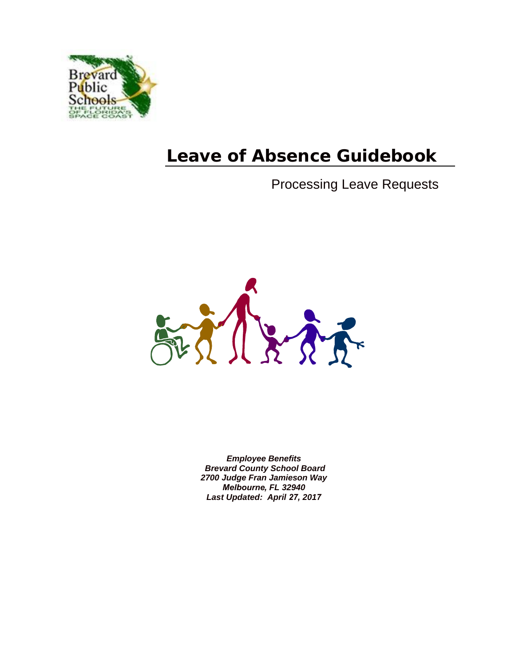

# **Leave of Absence Guidebook**

# Processing Leave Requests



*Employee Benefits Brevard County School Board 2700 Judge Fran Jamieson Way Melbourne, FL 32940 Last Updated: April 27, 2017*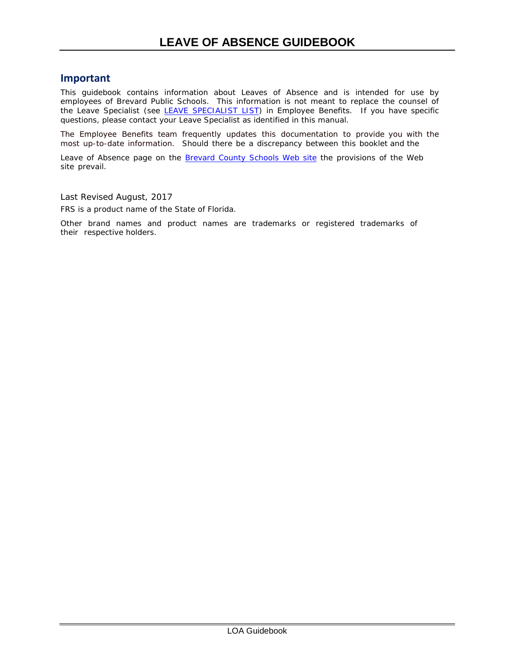#### **Important**

This guidebook contains information about Leaves of Absence and is intended for use by employees of Brevard Public Schools. This information is not meant to replace the counsel of the Leave Specialist (see LEAVE [SPECIALIST](http://benefits.brevard.k12.fl.us/HR/LOA/2012/LEAVE%20CONTACT%20ALPHA.pdf) LIST) in Employee Benefits. If you have specific questions, please contact your Leave Specialist as identified in this manual.

The Employee Benefits team frequently updates this documentation to provide you with the most up-to-date information. Should there be a discrepancy between this booklet and the

Leave of Absence page on the [Brevard County Schools Web site](http://www.brevardschools.org/) the provisions of the Web site prevail.

Last Revised August, 2017

FRS is a product name of the State of Florida.

Other brand names and product names are trademarks or registered trademarks of their respective holders.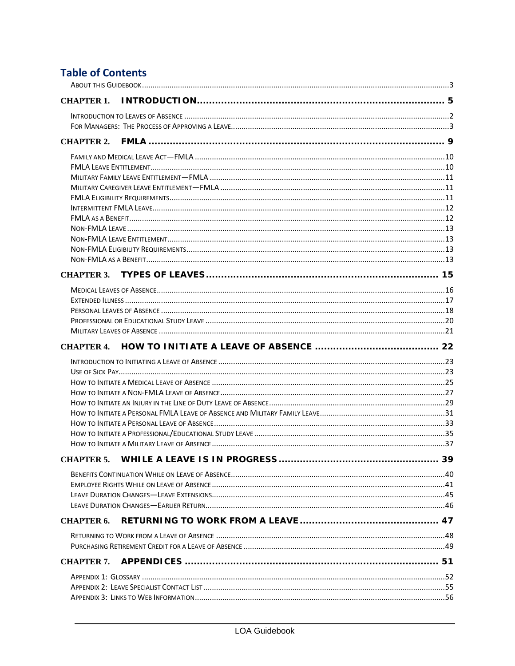## **Table of Contents**

| CHAPTER 1.        |  |
|-------------------|--|
|                   |  |
|                   |  |
|                   |  |
|                   |  |
|                   |  |
|                   |  |
|                   |  |
|                   |  |
|                   |  |
|                   |  |
|                   |  |
|                   |  |
|                   |  |
|                   |  |
|                   |  |
|                   |  |
|                   |  |
|                   |  |
|                   |  |
| <b>CHAPTER 4.</b> |  |
|                   |  |
|                   |  |
|                   |  |
|                   |  |
|                   |  |
|                   |  |
|                   |  |
|                   |  |
|                   |  |
|                   |  |
|                   |  |
|                   |  |
|                   |  |
| <b>CHAPTER 6.</b> |  |
|                   |  |
|                   |  |
| CHAPTER 7.        |  |
|                   |  |
|                   |  |
|                   |  |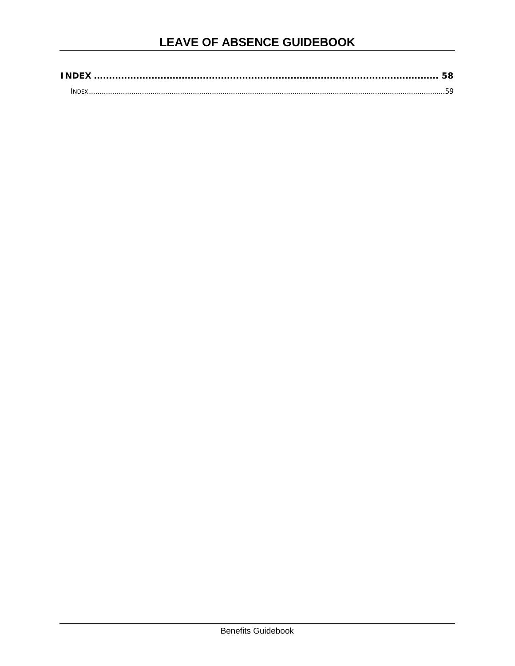| <b>INDE</b> |  |
|-------------|--|
|             |  |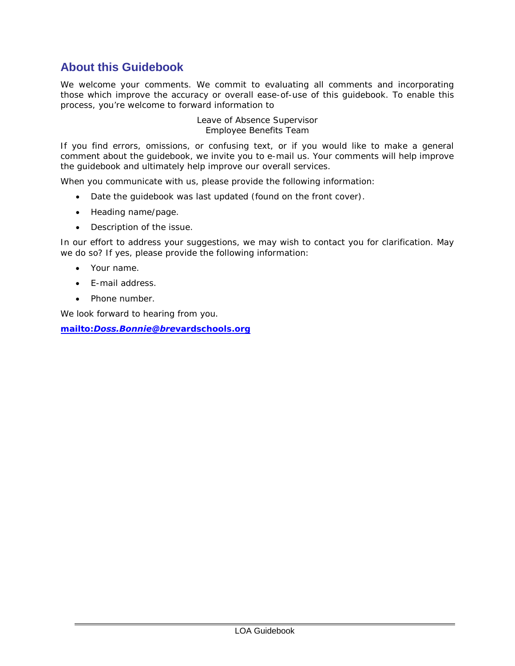## <span id="page-4-0"></span>**About this Guidebook**

We welcome your comments. We commit to evaluating all comments and incorporating those which improve the accuracy or overall ease-of-use of this guidebook. To enable this process, you're welcome to forward information to

#### Leave of Absence Supervisor Employee Benefits Team

If you find errors, omissions, or confusing text, or if you would like to make a general comment about the guidebook, we invite you to e-mail us. Your comments will help improve the guidebook and ultimately help improve our overall services.

When you communicate with us, please provide the following information:

- Date the guidebook was last updated (found on the front cover).
- Heading name/page.
- Description of the issue.

In our effort to address your suggestions, we may wish to contact you for clarification. May we do so? If yes, please provide the following information:

- Your name.
- E-mail address.
- Phone number.

We look forward to hearing from you.

*mailto:[Doss.Bonnie@bre](mailto:Standley.Susan@brevardschools.org)vardschools.org*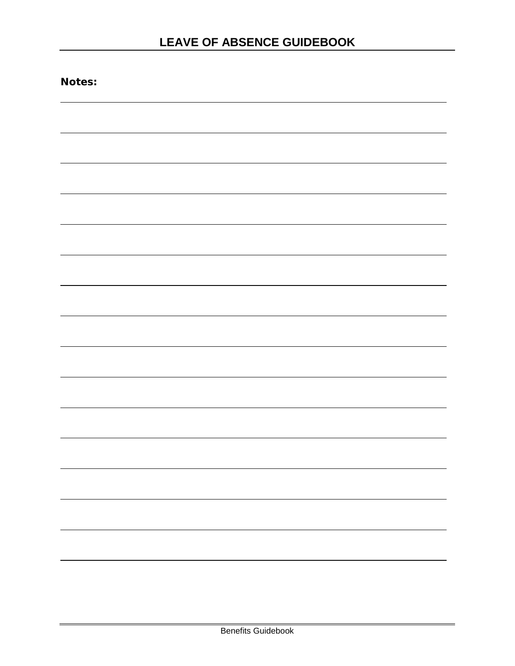| Notes: |  |  |  |
|--------|--|--|--|
|        |  |  |  |
|        |  |  |  |
|        |  |  |  |
|        |  |  |  |
|        |  |  |  |
|        |  |  |  |
|        |  |  |  |
|        |  |  |  |
|        |  |  |  |
|        |  |  |  |
|        |  |  |  |
|        |  |  |  |
|        |  |  |  |
|        |  |  |  |
|        |  |  |  |
|        |  |  |  |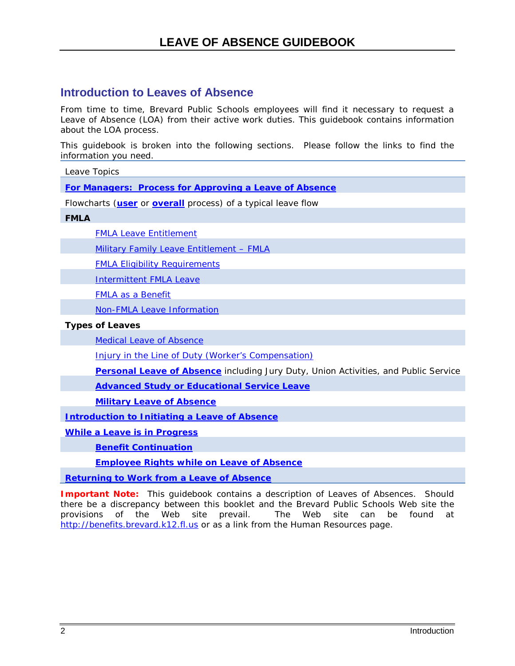### <span id="page-7-0"></span>**Introduction to Leaves of Absence**

From time to time, Brevard Public Schools employees will find it necessary to request a Leave of Absence (LOA) from their active work duties. This guidebook contains information about the LOA process.

This guidebook is broken into the following sections. Please follow the links to find the information you need.

Leave Topics

**[For Managers: Process for Approving a Leave of Absence](#page-8-0)**

Flowcharts (**[user](#page-12-0)** or **overall** process) of a typical leave flow

#### **FMLA**

[FMLA Leave Entitlement](#page-15-1)

[Military Family Leave Entitlement –](#page-16-0) FMLA

[FMLA Eligibility Requirements](#page-16-2) 

[Intermittent FMLA Leave](#page-17-0)

[FMLA as a Benefit](#page-17-1) 

[Non-FMLA Leave Information](#page-17-2) 

#### **Types of Leaves**

[Medical Leave of Absence](#page-21-0) 

Injury in the Line of [Duty \(Worker's Compensation\)](#page-21-0)

**[Personal Leave of Absence](#page-23-1)** including Jury Duty, Union Activities, and Public Service

**[Advanced Study or Educational Service Leave](#page-25-1)**

**[Military Leave of Absence](#page-26-1)**

**[Introduction to Initiating a Leave of Absence](#page-28-0)**

**[While a Leave is in Progress](#page-44-0)**

**[Benefit Continuation](#page-45-0)**

**[Employee Rights while on Leave of Absence](#page-46-0)**

**[Returning to Work from a Leave of Absence](#page-53-0)**

**Important Note:** This guidebook contains a description of Leaves of Absences. Should there be a discrepancy between this booklet and the Brevard Public Schools Web site the provisions of the Web site prevail. The Web site can be found at [http://benefits.brevard.k12.fl.us](http://benefits.brevard.k12.fl.us/) or as a link from the Human Resources page.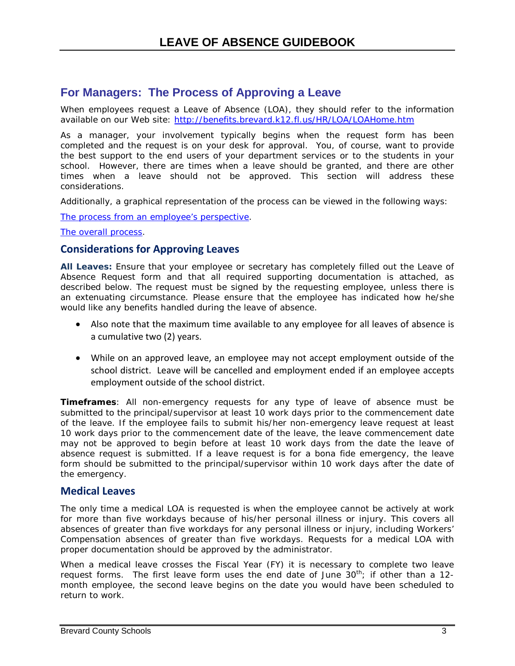### <span id="page-8-0"></span>**For Managers: The Process of Approving a Leave**

When employees request a Leave of Absence (LOA), they should refer to the information available on our Web site: <http://benefits.brevard.k12.fl.us/HR/LOA/LOAHome.htm>

As a manager, your involvement typically begins when the request form has been completed and the request is on your desk for approval. You, of course, want to provide the best support to the end users of your department services or to the students in your school. However, there are times when a leave should be granted, and there are other times when a leave should not be approved. This section will address these considerations.

Additionally, a graphical representation of the process can be viewed in the following ways:

[The process from an employee's perspective.](#page-12-1)

[The overall process.](#page-11-0)

#### **Considerations for Approving Leaves**

**All Leaves:** Ensure that your employee or secretary has completely filled out the Leave of Absence Request form and that all required supporting documentation is attached, as described below. The request must be signed by the requesting employee, unless there is an extenuating circumstance. Please ensure that the employee has indicated how he/she would like any benefits handled during the leave of absence.

- Also note that the maximum time available to any employee for all leaves of absence is a cumulative two (2) years.
- While on an approved leave, an employee may not accept employment outside of the school district. Leave will be cancelled and employment ended if an employee accepts employment outside of the school district.

**Timeframes**: All non-emergency requests for any type of leave of absence must be submitted to the principal/supervisor at least 10 work days prior to the commencement date of the leave. If the employee fails to submit his/her non-emergency leave request at least 10 work days prior to the commencement date of the leave, the leave commencement date may not be approved to begin before at least 10 work days from the date the leave of absence request is submitted. If a leave request is for a bona fide emergency, the leave form should be submitted to the principal/supervisor within 10 work days after the date of the emergency.

#### **Medical Leaves**

The only time a medical LOA is requested is when the employee cannot be actively at work for more than five workdays because of his/her personal illness or injury. This covers all absences of greater than five workdays for any personal illness or injury, including Workers' Compensation absences of greater than five workdays. Requests for a medical LOA with proper documentation should be approved by the administrator.

When a medical leave crosses the Fiscal Year (FY) it is necessary to complete two leave request forms. The first leave form uses the end date of June  $30<sup>th</sup>$ ; if other than a 12month employee, the second leave begins on the date you would have been scheduled to return to work.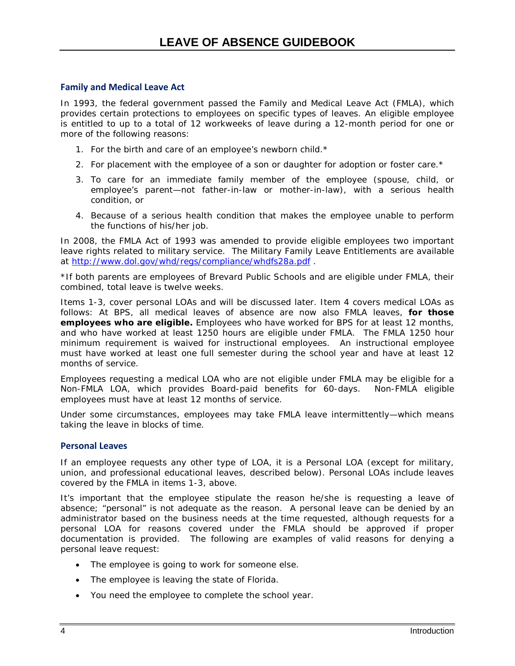#### **Family and Medical Leave Act**

In 1993, the federal government passed the Family and Medical Leave Act (FMLA), which provides certain protections to employees on specific types of leaves. An eligible employee is entitled to up to a total of 12 workweeks of leave during a 12-month period for one or more of the following reasons:

- 1. For the birth and care of an employee's newborn child.\*
- 2. For placement with the employee of a son or daughter for adoption or foster care.\*
- 3. To care for an immediate family member of the employee (spouse, child, or employee's parent—not father-in-law or mother-in-law), with a serious health condition, or
- 4. Because of a serious health condition that makes the employee unable to perform the functions of his/her job.

In 2008, the FMLA Act of 1993 was amended to provide eligible employees two important leave rights related to military service. The Military Family Leave Entitlements are available at<http://www.dol.gov/whd/regs/compliance/whdfs28a.pdf>.

\*If both parents are employees of Brevard Public Schools and are eligible under FMLA, their combined, total leave is twelve weeks.

Items 1-3, cover personal LOAs and will be discussed later. Item 4 covers medical LOAs as follows: At BPS, all medical leaves of absence are now also FMLA leaves, *for those employees who are eligible.* Employees who have worked for BPS for at least 12 months, and who have worked at least 1250 hours are eligible under FMLA. The FMLA 1250 hour minimum requirement is waived for instructional employees. An instructional employee must have worked at least one full semester during the school year and have at least 12 months of service.

Employees requesting a medical LOA who are not eligible under FMLA may be eligible for a Non-FMLA LOA, which provides Board-paid benefits for 60-days. Non-FMLA eligible employees must have at least 12 months of service.

Under some circumstances, employees may take FMLA leave intermittently—which means taking the leave in blocks of time.

#### **Personal Leaves**

If an employee requests any other type of LOA, it is a Personal LOA (except for military, union, and professional educational leaves, described below). Personal LOAs include leaves covered by the FMLA in items 1-3, above.

It's important that the employee stipulate the reason he/she is requesting a leave of absence; "personal" is not adequate as the reason. A personal leave can be denied by an administrator based on the business needs at the time requested, although requests for a personal LOA for reasons covered under the FMLA should be approved if proper documentation is provided. The following are *examples* of valid reasons for denying a personal leave request:

- The employee is going to work for someone else.
- The employee is leaving the state of Florida.
- You need the employee to complete the school year.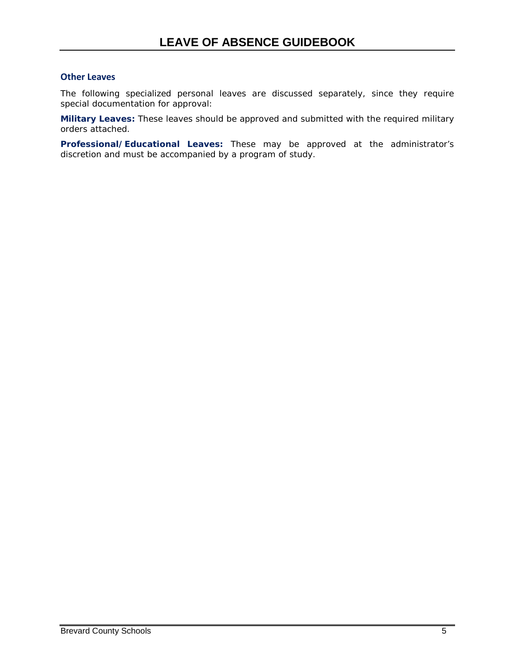#### **Other Leaves**

The following specialized personal leaves are discussed separately, since they require special documentation for approval:

**Military Leaves:** These leaves should be approved and submitted with the required military orders attached.

**Professional/Educational Leaves:** These may be approved at the administrator's discretion and must be accompanied by a program of study.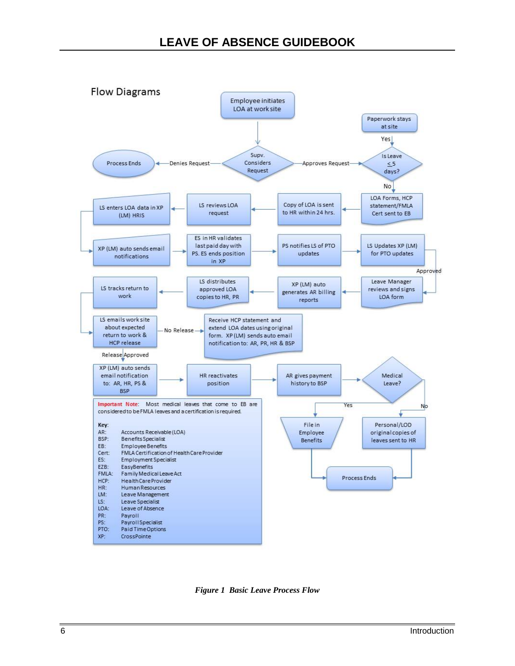

<span id="page-11-0"></span>*Figure 1 Basic Leave Process Flow*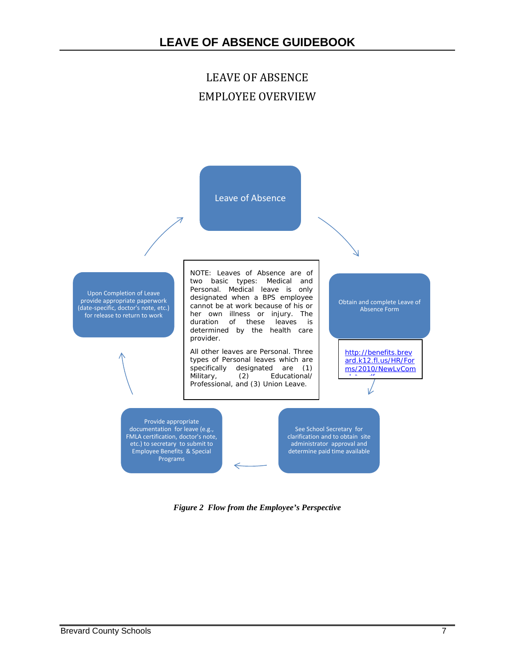## LEAVE OF ABSENCE EMPLOYEE OVERVIEW

<span id="page-12-0"></span>

<span id="page-12-1"></span>*Figure 2 Flow from the Employee's Perspective*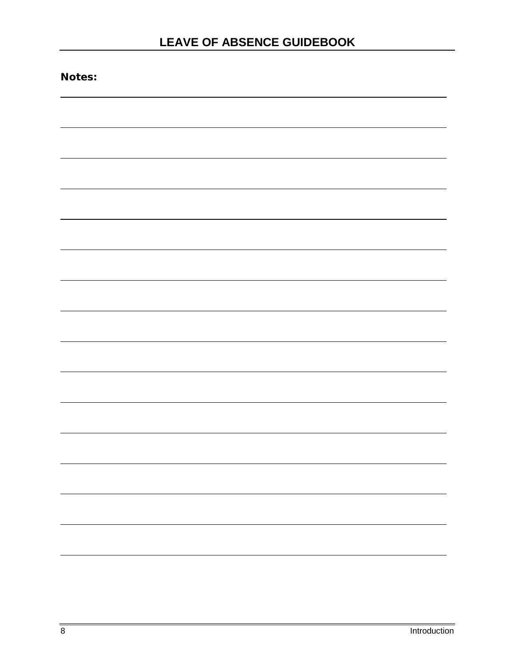| Notes: |  |  |
|--------|--|--|
|        |  |  |
|        |  |  |
|        |  |  |
|        |  |  |
|        |  |  |
|        |  |  |
|        |  |  |
|        |  |  |
|        |  |  |
|        |  |  |
|        |  |  |
|        |  |  |
|        |  |  |
|        |  |  |
|        |  |  |
|        |  |  |
|        |  |  |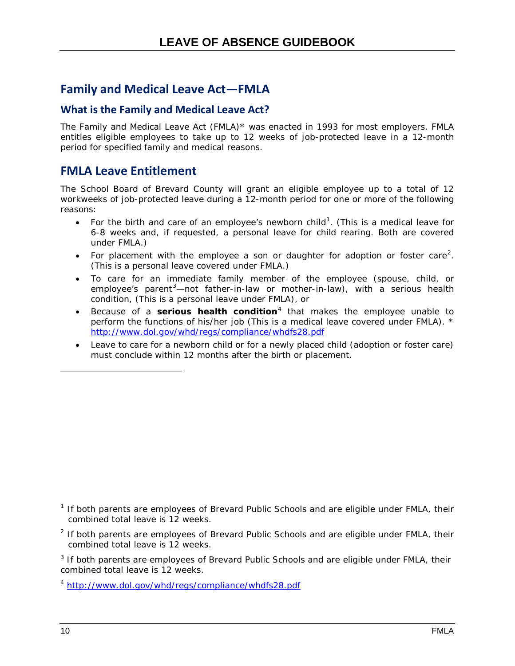## <span id="page-15-0"></span>**Family and Medical Leave Act—FMLA**

### <span id="page-15-2"></span>**What is the Family and Medical Leave Act?**

The Family and Medical Leave Act (FMLA)\* was enacted in 1993 for most employers. FMLA entitles eligible employees to take up to 12 weeks of job-protected leave in a 12-month period for specified family and medical reasons.

### <span id="page-15-1"></span>**FMLA Leave Entitlement**

The School Board of Brevard County will grant an eligible employee up to a total of 12 workweeks of job-protected leave during a 12-month period for one or more of the following reasons:

- For the birth and care of an employee's newborn child<sup>[1](#page-16-3)</sup>. (This is a medical leave for 6-8 weeks and, if requested, a personal leave for child rearing. Both are covered under FMLA.)
- For placement with the employee a son or daughter for adoption or foster care<sup>[2](#page-16-4)</sup>. (This is a personal leave covered under FMLA.)
- To care for an immediate family member of the employee (spouse, child, or employee's parent<sup>[3](#page-16-5)</sup>—not father-in-law or mother-in-law), with a serious health condition, (This is a personal leave under FMLA), or
- Because of a **serious health condition**[4](#page-16-6) that makes the employee unable to perform the functions of his/her job (This is a medical leave covered under FMLA). \* <http://www.dol.gov/whd/regs/compliance/whdfs28.pdf>
- Leave to care for a newborn child or for a newly placed child (adoption or foster care) must conclude within 12 months after the birth or placement.

- $1$  If both parents are employees of Brevard Public Schools and are eligible under FMLA, their combined total leave is 12 weeks.
- $<sup>2</sup>$  If both parents are employees of Brevard Public Schools and are eligible under FMLA, their</sup> combined total leave is 12 weeks.

 $3$  If both parents are employees of Brevard Public Schools and are eligible under FMLA, their combined total leave is 12 weeks.

<sup>4</sup> <http://www.dol.gov/whd/regs/compliance/whdfs28.pdf>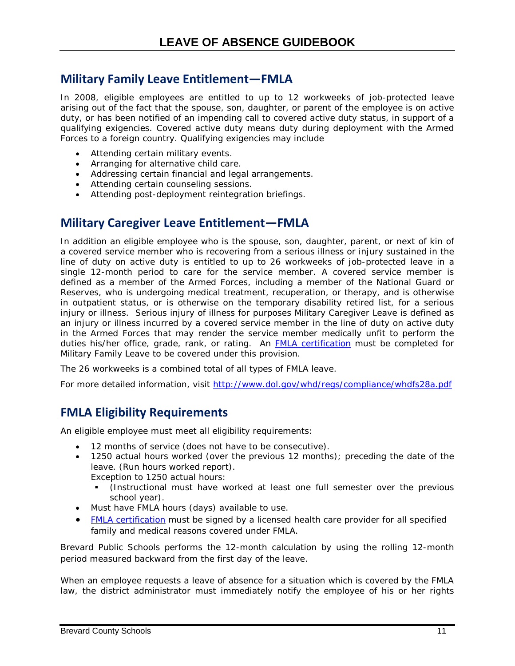### <span id="page-16-0"></span>**Military Family Leave Entitlement—FMLA**

In 2008, eligible employees are entitled to up to 12 workweeks of job-protected leave arising out of the fact that the spouse, son, daughter, or parent of the employee is on active duty, or has been notified of an impending call to covered active duty status, in support of a qualifying exigencies. Covered active duty means duty during deployment with the Armed Forces to a foreign country. Qualifying exigencies may include

- Attending certain military events.
- Arranging for alternative child care.
- Addressing certain financial and legal arrangements.
- Attending certain counseling sessions.
- Attending post-deployment reintegration briefings.

## <span id="page-16-1"></span>**Military Caregiver Leave Entitlement—FMLA**

In addition an eligible employee who is the spouse, son, daughter, parent, or next of kin of a covered service member who is recovering from a serious illness or injury sustained in the line of duty on active duty is entitled to up to 26 workweeks of job-protected leave in a single 12-month period to care for the service member. A covered service member is defined as a member of the Armed Forces, including a member of the National Guard or Reserves, who is undergoing medical treatment, recuperation, or therapy, and is otherwise in outpatient status, or is otherwise on the temporary disability retired list, for a serious injury or illness. Serious injury of illness for purposes Military Caregiver Leave is defined as an injury or illness incurred by a covered service member in the line of duty on active duty in the Armed Forces that may render the service member medically unfit to perform the duties his/her office, grade, rank, or rating. An [FMLA certification](http://benefits.brevard.k12.fl.us/HR/LOA/LOA%20Forms%20Documents%20&%20FMLA%20Certifications.htm) must be completed for Military Family Leave to be covered under this provision.

The 26 workweeks is a combined total of all types of FMLA leave.

<span id="page-16-2"></span>For more detailed information, visit<http://www.dol.gov/whd/regs/compliance/whdfs28a.pdf>

## **FMLA Eligibility Requirements**

An eligible employee must meet all eligibility requirements:

- 12 months of service (does not have to be consecutive).
- 1250 actual hours worked (over the previous 12 months); preceding the date of the leave. (Run hours worked report).
	- Exception to 1250 actual hours:
		- (Instructional must have worked at least one full semester over the previous school year).
- Must have FMLA hours (days) available to use.
- [FMLA certification](http://benefits.brevard.k12.fl.us/HR/LOA/LOA%20Forms%20Documents%20&%20FMLA%20Certifications.htm) must be signed by a licensed health care provider for all specified family and medical reasons covered under FMLA.

<span id="page-16-5"></span><span id="page-16-4"></span><span id="page-16-3"></span>Brevard Public Schools performs the 12-month calculation by using the rolling 12-month period measured backward from the first day of the leave.

<span id="page-16-6"></span>When an employee requests a leave of absence for a situation which is covered by the FMLA law, the district administrator must immediately notify the employee of his or her rights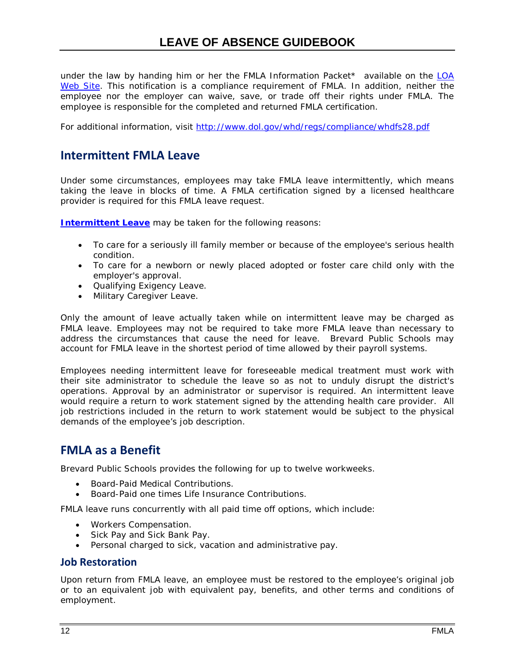under the law by handing him or her the FMLA Information Packet\* available on the  $LOA$ [Web Site.](http://benefits.brevard.k12.fl.us/HR/LOA/LOAHome.htm) This notification is a compliance requirement of FMLA. In addition, neither the employee nor the employer can waive, save, or trade off their rights under FMLA. The employee is responsible for the completed and returned FMLA certification.

<span id="page-17-0"></span>For additional information, visit<http://www.dol.gov/whd/regs/compliance/whdfs28.pdf>

### **Intermittent FMLA Leave**

Under some circumstances, employees may take FMLA leave intermittently, which means taking the leave in blocks of time. A FMLA certification signed by a licensed healthcare provider is required for this FMLA leave request.

**[Intermittent Leave](http://www.dol.gov/whd/regs/compliance/whdfs28.pdf)** may be taken for the following reasons:

- To care for a seriously ill family member or because of the employee's serious health condition.
- To care for a newborn or newly placed adopted or foster care child only with the employer's approval.
- Qualifying Exigency Leave.
- Military Caregiver Leave.

Only the amount of leave actually taken while on intermittent leave may be charged as FMLA leave. Employees may not be required to take more FMLA leave than necessary to address the circumstances that cause the need for leave. Brevard Public Schools may account for FMLA leave in the shortest period of time allowed by their payroll systems.

Employees needing intermittent leave for foreseeable medical treatment must work with their site administrator to schedule the leave so as not to unduly disrupt the district's operations. Approval by an administrator or supervisor is required. An intermittent leave would require a return to work statement signed by the attending health care provider. All job restrictions included in the return to work statement would be subject to the physical demands of the employee's job description.

### <span id="page-17-1"></span>**FMLA as a Benefit**

Brevard Public Schools provides the following for up to twelve workweeks.

- Board-Paid Medical Contributions.
- Board-Paid one times Life Insurance Contributions.

FMLA leave runs concurrently with all paid time off options, which include:

- Workers Compensation.
- Sick Pay and Sick Bank Pay.
- Personal charged to sick, vacation and administrative pay.

#### **Job Restoration**

<span id="page-17-2"></span>Upon return from FMLA leave, an employee must be restored to the employee's original job or to an equivalent job with equivalent pay, benefits, and other terms and conditions of employment.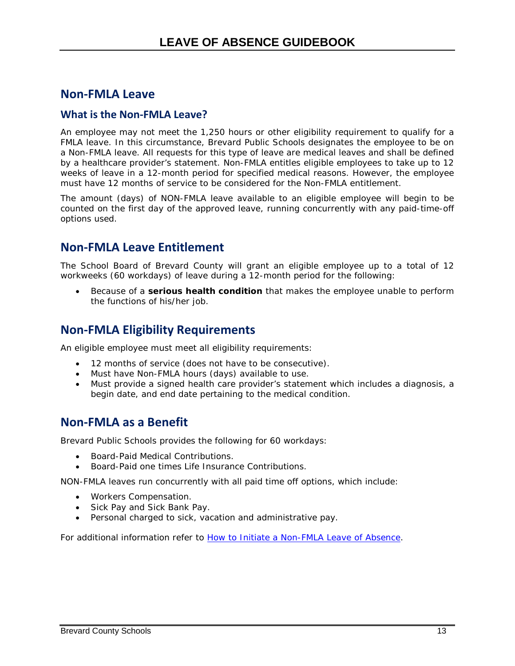### <span id="page-18-0"></span>**Non-FMLA Leave**

#### **What is the Non-FMLA Leave?**

An employee may not meet the 1,250 hours or other eligibility requirement to qualify for a FMLA leave. In this circumstance, Brevard Public Schools designates the employee to be on a Non-FMLA leave. All requests for this type of leave are medical leaves and shall be defined by a healthcare provider's statement. Non-FMLA entitles eligible employees to take up to 12 weeks of leave in a 12-month period for specified medical reasons. However, the employee must have 12 months of service to be considered for the Non-FMLA entitlement.

The amount (days) of NON-FMLA leave available to an eligible employee will begin to be counted on the first day of the approved leave, running concurrently with any paid-time-off options used.

### <span id="page-18-1"></span>**Non-FMLA Leave Entitlement**

The School Board of Brevard County will grant an eligible employee up to a total of 12 workweeks (60 workdays) of leave during a 12-month period for the following:

• Because of a **serious health condition** that makes the employee unable to perform the functions of his/her job.

### <span id="page-18-2"></span>**Non-FMLA Eligibility Requirements**

An eligible employee must meet all eligibility requirements:

- 12 months of service (does not have to be consecutive).
- Must have Non-FMLA hours (days) available to use.
- Must provide a signed health care provider's statement which includes a diagnosis, a begin date, and end date pertaining to the medical condition.

### <span id="page-18-3"></span>**Non-FMLA as a Benefit**

Brevard Public Schools provides the following for 60 workdays:

- Board-Paid Medical Contributions.
- Board-Paid one times Life Insurance Contributions.

NON-FMLA leaves run concurrently with all paid time off options, which include:

- Workers Compensation.
- Sick Pay and Sick Bank Pay.
- Personal charged to sick, vacation and administrative pay.

For additional information refer to *[How to Initiate a Non-FMLA Leave of Absence](#page-32-0)*.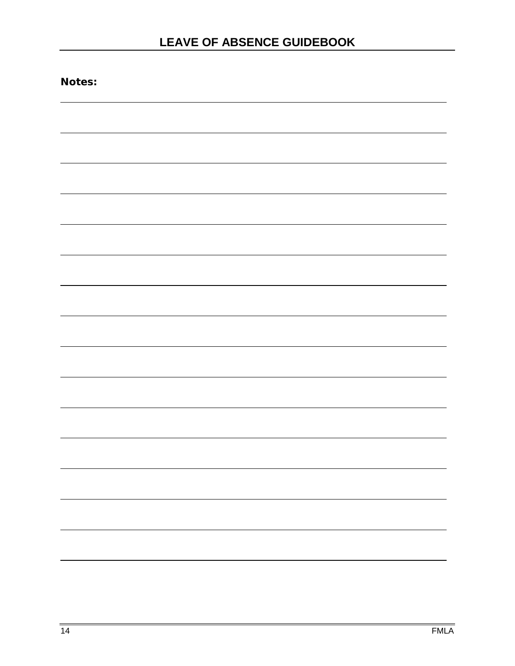| Notes: |  |  |
|--------|--|--|
|        |  |  |
|        |  |  |
|        |  |  |
|        |  |  |
|        |  |  |
|        |  |  |
|        |  |  |
|        |  |  |
|        |  |  |
|        |  |  |
|        |  |  |
|        |  |  |
|        |  |  |
|        |  |  |
|        |  |  |
|        |  |  |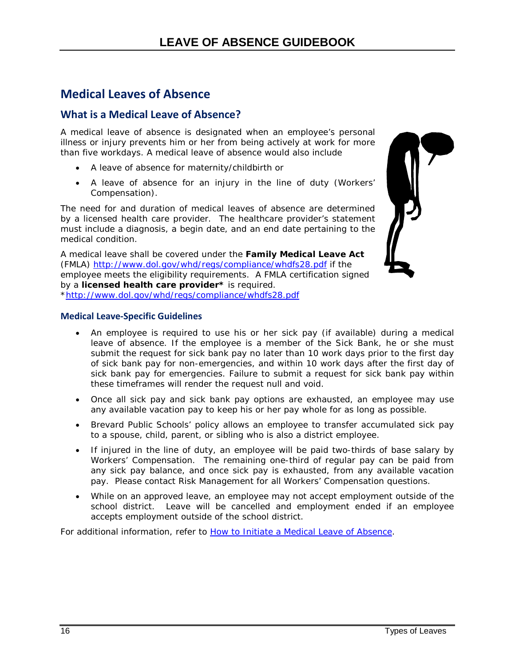## <span id="page-21-0"></span>**Medical Leaves of Absence**

### **What is a Medical Leave of Absence?**

A medical leave of absence is designated when an employee's personal illness or injury prevents him or her from being actively at work for more than five workdays. A medical leave of absence would also include

- A leave of absence for maternity/childbirth or
- A leave of absence for an injury in the line of duty (Workers' Compensation).

The need for and duration of medical leaves of absence are determined by a licensed health care provider. The healthcare provider's statement must include a diagnosis, a begin date, and an end date pertaining to the medical condition.

A medical leave shall be covered under the **Family Medical Leave Act** (FMLA) <http://www.dol.gov/whd/regs/compliance/whdfs28.pdf> if the employee meets the eligibility requirements. A FMLA certification signed by a **licensed health care provider\*** is required. [\\*http://www.dol.gov/whd/regs/compliance/whdfs28.pdf](http://www.dol.gov/whd/regs/compliance/whdfs28.pdf)



#### **Medical Leave-Specific Guidelines**

- An employee is required to use his or her sick pay (if available) during a medical leave of absence. If the employee is a member of the Sick Bank, he or she must submit the request for sick bank pay no later than 10 work days prior to the first day of sick bank pay for non-emergencies, and within 10 work days after the first day of sick bank pay for emergencies. Failure to submit a request for sick bank pay within these timeframes will render the request null and void.
- Once all sick pay and sick bank pay options are exhausted, an employee may use any available vacation pay to keep his or her pay whole for as long as possible.
- Brevard Public Schools' policy allows an employee to transfer accumulated sick pay to a spouse, child, parent, or sibling who is also a district employee.
- If injured in the line of duty, an employee will be paid two-thirds of base salary by Workers' Compensation. The remaining one-third of regular pay can be paid from any sick pay balance, and once sick pay is exhausted, from any available vacation pay. Please contact Risk Management for all Workers' Compensation questions.
- While on an approved leave, an employee may not accept employment outside of the school district. Leave will be cancelled and employment ended if an employee accepts employment outside of the school district.

For additional information, refer to **How to Initiate a Medical Leave of Absence**.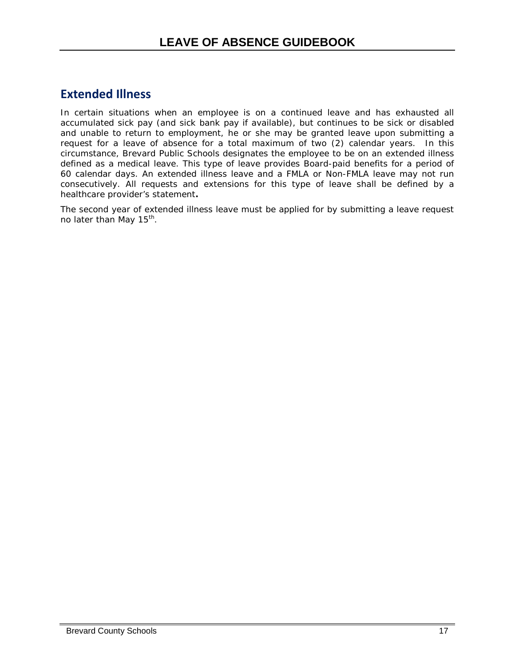## <span id="page-22-0"></span>**Extended Illness**

In certain situations when an employee is on a continued leave and has exhausted all accumulated sick pay (and sick bank pay if available), but continues to be sick or disabled and unable to return to employment, he or she may be granted leave upon submitting a request for a leave of absence for a total maximum of two (2) calendar years. In this circumstance, Brevard Public Schools designates the employee to be on an extended illness defined as a medical leave. This type of leave provides Board-paid benefits for a period of 60 calendar days. An extended illness leave and a FMLA or Non-FMLA leave may not run consecutively. All requests and extensions for this type of leave shall be defined by a healthcare provider's statement**.**

The second year of extended illness leave must be applied for by submitting a leave request no later than May  $15^{th}$ .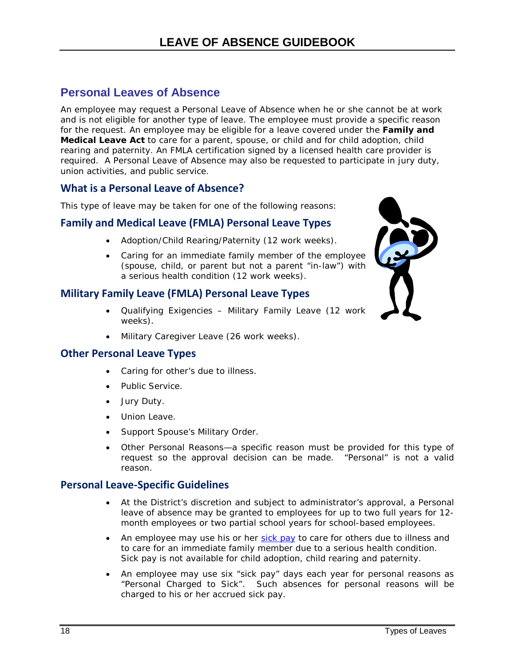### <span id="page-23-0"></span>**Personal Leaves of Absence**

An employee may request a Personal Leave of Absence when he or she cannot be at work and is not eligible for another type of leave. The employee must provide a specific reason for the request. An employee may be eligible for a leave covered under the **[Family and](http://www.dol.gov/esa/whd/regs/compliance/1421.htm#2d)  [Medical Leave Act](http://www.dol.gov/esa/whd/regs/compliance/1421.htm#2d)** to care for a parent, spouse, or child and for child adoption, child rearing and paternity. An FMLA certification signed by a licensed health care provider is required. A Personal Leave of Absence may also be requested to participate in jury duty, union activities, and public service.

#### <span id="page-23-1"></span>**What is a Personal Leave of Absence?**

This type of leave may be taken for one of the following reasons:

### **Family and Medical Leave (FMLA) Personal Leave Types**

- Adoption/Child Rearing/Paternity (12 work weeks).
- Caring for an immediate family member of the employee (spouse, child, or parent but not a parent "in-law") with a serious health condition (12 work weeks).

### **Military Family Leave (FMLA) Personal Leave Types**

- Qualifying Exigencies Military Family Leave (12 work weeks).
- Military Caregiver Leave (26 work weeks).

#### **Other Personal Leave Types**

- Caring for other's due to illness.
- Public Service.
- Jury Duty.
- Union Leave.
- Support Spouse's Military Order.
- Other Personal Reasons—a specific reason must be provided for this type of request so the approval decision can be made. "Personal" is not a valid reason.

#### **Personal Leave-Specific Guidelines**

- At the District's discretion and subject to administrator's approval, a Personal leave of absence may be granted to employees for up to two full years for 12 month employees or two partial school years for school-based employees.
- An employee may use his or her [sick pay](http://www.flsenate.gov/Statutes/index.cfm?App_mode=Display_Statute&Search_String=&URL=1000-1099/1012/Sections/1012.61.html) to care for others due to illness and to care for an immediate family member due to a serious health condition. Sick pay is not available for child adoption, child rearing and paternity.
- An employee may use six "sick pay" days each year for personal reasons as "Personal Charged to Sick". Such absences for personal reasons will be charged to his or her accrued sick pay.

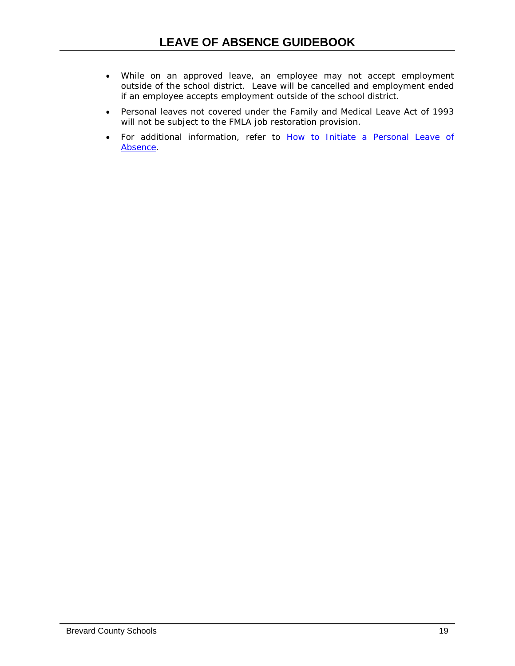- While on an approved leave, an employee may not accept employment outside of the school district. Leave will be cancelled and employment ended if an employee accepts employment outside of the school district.
- Personal leaves not covered under the Family and Medical Leave Act of 1993 will not be subject to the FMLA job restoration provision.
- For additional information, refer to *[How to Initiate a Personal Leave of](#page-36-1) [Absence](#page-36-1)*.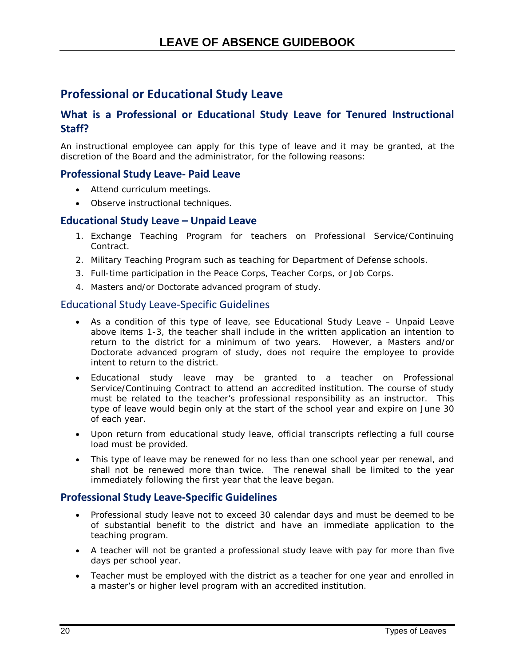## <span id="page-25-0"></span>**Professional or Educational Study Leave**

### <span id="page-25-1"></span>**What is a Professional or Educational Study Leave for Tenured Instructional Staff?**

An instructional employee can apply for this type of leave and it may be granted, at the discretion of the Board and the administrator, for the following reasons:

#### **Professional Study Leave- Paid Leave**

- Attend curriculum meetings.
- Observe instructional techniques.

#### **Educational Study Leave – Unpaid Leave**

- 1. Exchange Teaching Program for teachers on Professional Service/Continuing Contract.
- 2. Military Teaching Program such as teaching for Department of Defense schools.
- 3. Full-time participation in the Peace Corps, Teacher Corps, or Job Corps.
- 4. Masters and/or Doctorate advanced program of study.

#### Educational Study Leave-Specific Guidelines

- As a condition of this type of leave, see *Educational Study Leave Unpaid Leave* above items 1-3, the teacher shall include in the written application an intention to return to the district for a minimum of two years. However, a Masters and/or Doctorate advanced program of study, does not require the employee to provide intent to return to the district.
- Educational study leave may be granted to a teacher on Professional Service/Continuing Contract to attend an accredited institution. The course of study must be related to the teacher's professional responsibility as an instructor. This type of leave would begin only at the start of the school year and expire on June 30 of each year.
- Upon return from educational study leave, official transcripts reflecting a full course load must be provided.
- This type of leave may be renewed for no less than one school year per renewal, and shall not be renewed more than twice. The renewal shall be limited to the year immediately following the first year that the leave began.

#### **Professional Study Leave-Specific Guidelines**

- Professional study leave not to exceed 30 calendar days and must be deemed to be of substantial benefit to the district and have an immediate application to the teaching program.
- A teacher will not be granted a professional study leave with pay for more than five days per school year.
- Teacher must be employed with the district as a teacher for one year and enrolled in a master's or higher level program with an accredited institution.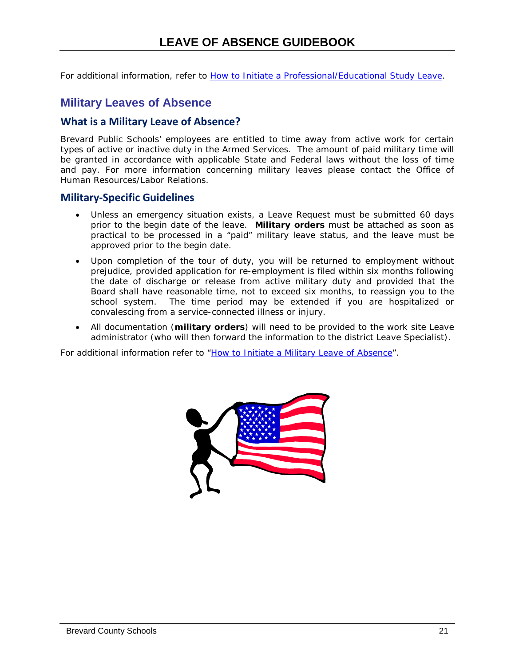For additional information, refer to *[How to Initiate a Professional/Educational Study Leave](#page-40-1)*.

### <span id="page-26-0"></span>**Military Leaves of Absence**

### <span id="page-26-1"></span>**What is a Military Leave of Absence?**

Brevard Public Schools' employees are entitled to time away from active work for certain types of active or inactive duty in the Armed Services. The amount of paid military time will be granted in accordance with applicable State and Federal laws without the loss of time and pay. For more information concerning military leaves please contact the Office of Human Resources/Labor Relations.

#### <span id="page-26-2"></span>**Military-Specific Guidelines**

- Unless an emergency situation exists, a Leave Request must be submitted 60 days prior to the begin date of the leave. **Military orders** must be attached as soon as practical to be processed in a "paid" military leave status, and the leave must be approved prior to the begin date.
- Upon completion of the tour of duty, you will be returned to employment without prejudice, provided application for re-employment is filed within six months following the date of discharge or release from active military duty and provided that the Board shall have reasonable time, not to exceed six months, to reassign you to the school system. The time period may be extended if you are hospitalized or convalescing from a service-connected illness or injury.
- All documentation (**military orders**) will need to be provided to the work site Leave administrator (who will then forward the information to the district Leave Specialist).

For additional information refer to ["How to Initiate a Military Leave of Absence"](#page-26-0).

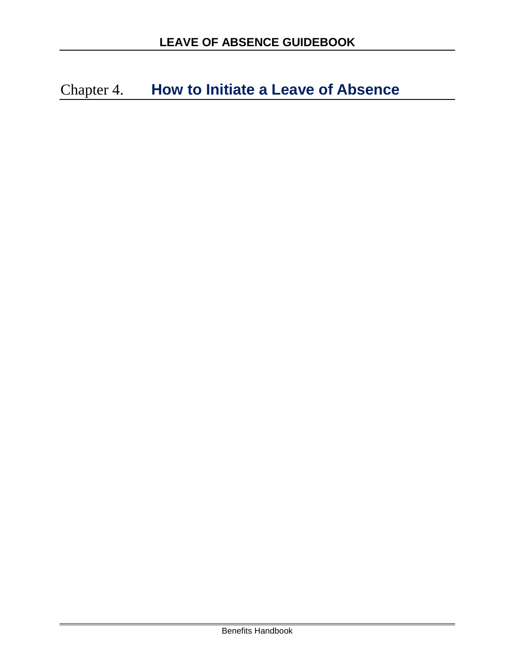<span id="page-27-0"></span>Chapter 4. **How to Initiate a Leave of Absence**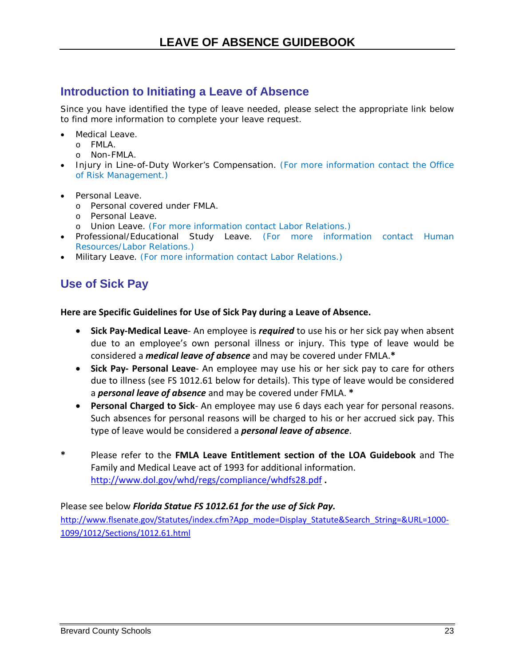## <span id="page-28-0"></span>**Introduction to Initiating a Leave of Absence**

Since you have identified the type of leave needed, please select the appropriate link below to find more information to complete your leave request.

- Medical Leave.
	- o FMLA.
	- o Non-FMLA.
- Injury in Line-of-Duty Worker's Compensation. (For more information contact the Office of Risk Management.)
- Personal Leave.
	- o Personal covered under FMLA.
	- o Personal Leave.
	- o Union Leave. (For more information contact Labor Relations.)
- Professional/Educational Study Leave. (For more information contact Human Resources/Labor Relations.)
- <span id="page-28-1"></span>• Military Leave. (For more information contact Labor Relations.)

## **Use of Sick Pay**

#### **Here are Specific Guidelines for Use of Sick Pay during a Leave of Absence.**

- **Sick Pay-Medical Leave** An employee is *required* to use his or her sick pay when absent due to an employee's own personal illness or injury. This type of leave would be considered a *medical leave of absence* and may be covered under FMLA.**\***
- **Sick Pay- Personal Leave** An employee may use his or her sick pay to care for others due to illness (see FS 1012.61 below for details). This type of leave would be considered a *personal leave of absence* and may be covered under FMLA. **\***
- **Personal Charged to Sick** An employee may use 6 days each year for personal reasons. Such absences for personal reasons will be charged to his or her accrued sick pay. This type of leave would be considered a *personal leave of absence*.
- **\*** Please refer to the **FMLA Leave Entitlement section of the LOA Guidebook** and The Family and Medical Leave act of 1993 for additional information. <http://www.dol.gov/whd/regs/compliance/whdfs28.pdf> **.**

#### Please see below *Florida Statue FS 1012.61 for the use of Sick Pay.*

[http://www.flsenate.gov/Statutes/index.cfm?App\\_mode=Display\\_Statute&Search\\_String=&URL=1000-](http://www.flsenate.gov/Statutes/index.cfm?App_mode=Display_Statute&Search_String=&URL=1000-1099/1012/Sections/1012.61.html) [1099/1012/Sections/1012.61.html](http://www.flsenate.gov/Statutes/index.cfm?App_mode=Display_Statute&Search_String=&URL=1000-1099/1012/Sections/1012.61.html)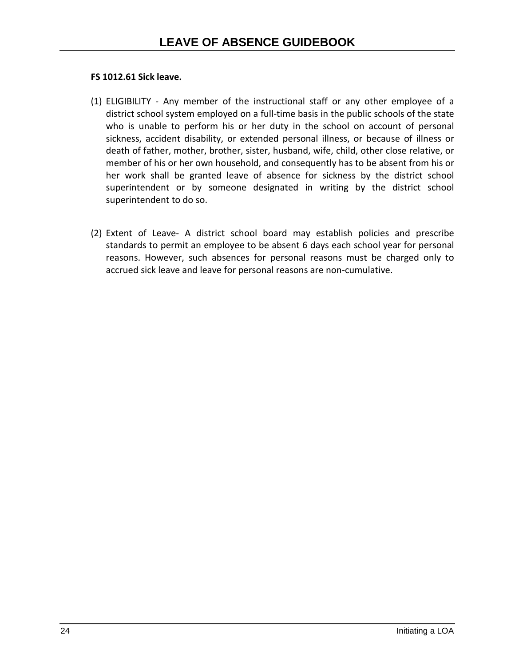#### **FS 1012.61 Sick leave.**

- (1) ELIGIBILITY Any member of the instructional staff or any other employee of a district school system employed on a full-time basis in the public schools of the state who is unable to perform his or her duty in the school on account of personal sickness, accident disability, or extended personal illness, or because of illness or death of father, mother, brother, sister, husband, wife, child, other close relative, or member of his or her own household, and consequently has to be absent from his or her work shall be granted leave of absence for sickness by the district school superintendent or by someone designated in writing by the district school superintendent to do so.
- (2) Extent of Leave- A district school board may establish policies and prescribe standards to permit an employee to be absent 6 days each school year for personal reasons. However, such absences for personal reasons must be charged only to accrued sick leave and leave for personal reasons are non-cumulative.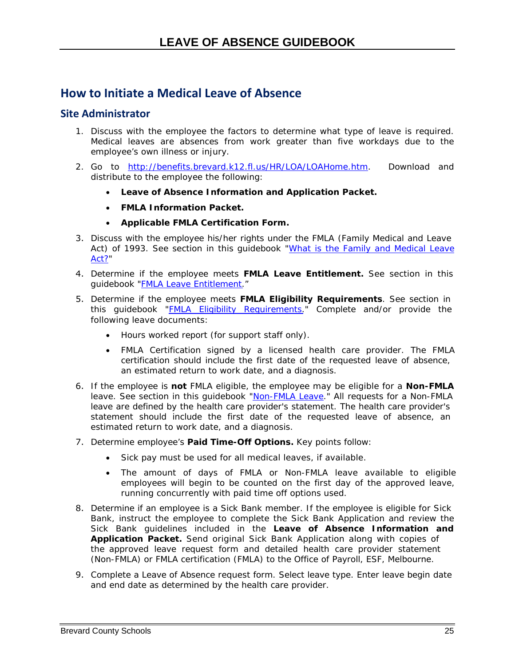## <span id="page-30-0"></span>**How to Initiate a Medical Leave of Absence**

#### **Site Administrator**

- <span id="page-30-1"></span>1. Discuss with the employee the factors to determine what type of leave is required. Medical leaves are absences from work greater than five workdays due to the employee's own illness or injury.
- 2. Go to [http://benefits.brevard.k12.fl.us/HR/LOA/LOAHome.htm.](http://benefits.brevard.k12.fl.us/HR/LOA/LOAHome.htm) Download and distribute to the employee the following:
	- **Leave of Absence Information and Application Packet.**
	- **FMLA Information Packet.**
	- **Applicable FMLA Certification Form.**
- 3. Discuss with the employee his/her rights under the FMLA (Family Medical and Leave Act) of 1993. See section in this guidebook "What [is the Family and Medical Leave](#page-15-2) [Act?"](#page-15-2)
- 4. Determine if the employee meets **FMLA Leave Entitlement.** See section in this guidebook "FMLA Leave [Entitlement.](#page-15-1)"
- 5. Determine if the employee meets **FMLA Eligibility Requirements**. See section in this guidebook "FMLA [Eligibility Requirements."](#page-16-2) Complete and/or provide the following leave documents:
	- Hours worked report (for support staff only).
	- FMLA Certification signed by a licensed health care provider. The FMLA certification should include the first date of the requested leave of absence, an estimated return to work date, and a diagnosis.
- 6. If the employee is **not** FMLA eligible, the employee may be eligible for a **Non-FMLA** leave. See section in this guidebook ["Non-FMLA Leave.](#page-17-2)" All requests for a Non-FMLA leave are defined by the health care provider's statement. The health care provider's statement should include the first date of the requested leave of absence, an estimated return to work date, and a diagnosis.
- 7. Determine employee's **Paid Time-Off Options.** Key points follow:
	- Sick pay must be used for all medical leaves, if available.
	- The amount of days of FMLA or Non-FMLA leave available to eligible employees will begin to be counted on the first day of the approved leave, running concurrently with paid time off options used.
- 8. Determine if an employee is a Sick Bank member. If the employee is eligible for Sick Bank, instruct the employee to complete the Sick Bank Application and review the Sick Bank guidelines included in the **Leave of Absence Information and Application Packet.** Send original Sick Bank Application along with copies of the approved leave request form and detailed health care provider statement (Non-FMLA) or FMLA certification (FMLA) to the Office of Payroll, ESF, Melbourne.
- 9. Complete a Leave of Absence request form. Select leave type. Enter leave begin date and end date as determined by the health care provider.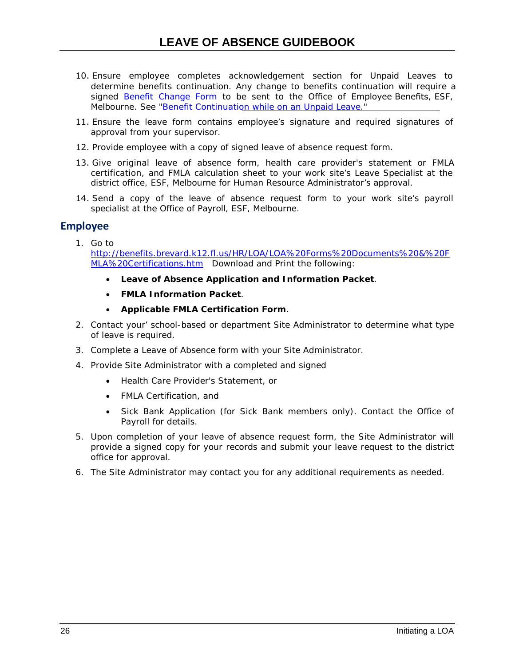- 10. Ensure employee completes acknowledgement section for Unpaid Leaves to determine benefits continuation. Any change to benefits continuation will require a signed [Benefit Change Form](http://benefits.brevard.k12.fl.us/HR/benefits%202013%20forward/Forms/Benefit_%20Change_%20Form.pdf) to be sent to the Office of Employee Benefits, ESF, Melbourne. See "Benefit [Continuation while](#page-45-0) on an Unpaid Leave."
- 11. Ensure the leave form contains employee's signature and required signatures of approval from your supervisor.
- 12. Provide employee with a copy of signed leave of absence request form.
- 13. Give original leave of absence form, health care provider's statement or FMLA certification, and FMLA calculation sheet to your work site's Leave Specialist at the district office, ESF, Melbourne for Human Resource Administrator's approval.
- 14. Send a copy of the leave of absence request form to your work site's payroll specialist at the Office of Payroll, ESF, Melbourne.

#### **Employee**

1. Go to

[http://benefits.brevard.k12.fl.us/HR/LOA/LOA%20Forms%20Documents%20&%20F](http://benefits.brevard.k12.fl.us/HR/LOA/LOA%20Forms%20Documents%20&%20FMLA%20Certifications.htm) [MLA%20Certifications.htm](http://benefits.brevard.k12.fl.us/HR/LOA/LOA%20Forms%20Documents%20&%20FMLA%20Certifications.htm) Download and Print the following:

- **Leave of Absence Application and Information Packet**.
- **FMLA Information Packet**.
- **Applicable FMLA Certification Form**.
- 2. Contact your' school-based or department Site Administrator to determine what type of leave is required.
- 3. Complete a Leave of Absence form with your Site Administrator.
- 4. Provide Site Administrator with a completed and signed
	- Health Care Provider's Statement, or
	- FMLA Certification, and
	- Sick Bank Application (for Sick Bank members only). Contact the Office of Payroll for details.
- 5. Upon completion of your leave of absence request form, the Site Administrator will provide a signed copy for your records and submit your leave request to the district office for approval.
- 6. The Site Administrator may contact you for any additional requirements as needed.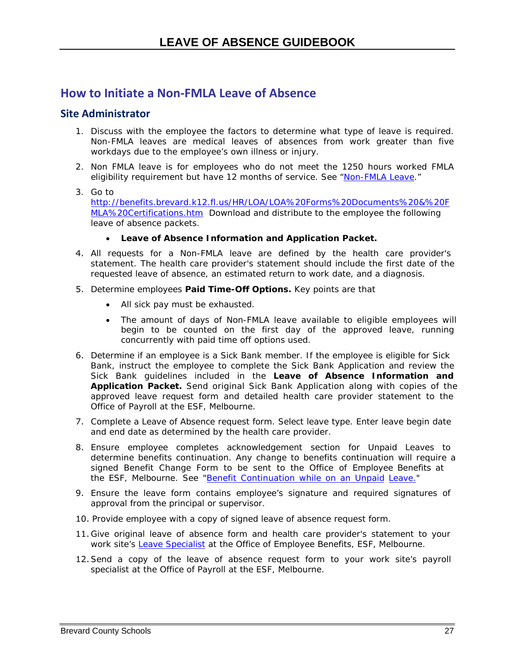### <span id="page-32-0"></span>**How to Initiate a Non-FMLA Leave of Absence**

#### **Site Administrator**

- 1. Discuss with the employee the factors to determine what type of leave is required. Non-FMLA leaves are medical leaves of absences from work greater than five workdays due to the employee's own illness or injury.
- 2. Non FMLA leave is for employees who do not meet the 1250 hours worked FMLA eligibility requirement but have 12 months of service. See ["Non-FMLA Leave.](#page-17-2)"
- 3. Go to

[http://benefits.brevard.k12.fl.us/HR/LOA/LOA%20Forms%20Documents%20&%20F](http://benefits.brevard.k12.fl.us/HR/LOA/LOA%20Forms%20Documents%20&%20FMLA%20Certifications.htm) [MLA%20Certifications.htm](http://benefits.brevard.k12.fl.us/HR/LOA/LOA%20Forms%20Documents%20&%20FMLA%20Certifications.htm) Download and distribute to the employee the following leave of absence packets.

- **Leave of Absence Information and Application Packet.**
- 4. All requests for a Non-FMLA leave are defined by the health care provider's statement. The health care provider's statement should include the first date of the requested leave of absence, an estimated return to work date, and a diagnosis.
- 5. Determine employees **Paid Time-Off Options.** Key points are that
	- All sick pay must be exhausted.
	- The amount of days of Non-FMLA leave available to eligible employees will begin to be counted on the first day of the approved leave, running concurrently with paid time off options used.
- 6. Determine if an employee is a Sick Bank member. If the employee is eligible for Sick Bank, instruct the employee to complete the Sick Bank Application and review the Sick Bank guidelines included in the **Leave of Absence Information and Application Packet.** Send original Sick Bank Application along with copies of the approved leave request form and detailed health care provider statement to the Office of Payroll at the ESF, Melbourne.
- 7. Complete a Leave of Absence request form. Select leave type. Enter leave begin date and end date as determined by the health care provider.
- 8. Ensure employee completes acknowledgement section for Unpaid Leaves to determine benefits continuation. Any change to benefits continuation will require a signed Benefit Change Form to be sent to the Office of Employee Benefits at the ESF, Melbourne. See "Benefit Continu[ation while](#page-45-0) on an Unpaid Leave."
- 9. [Ensure](#page-45-0) the leave form contains employee's signature and required signatures of approval from the principal or supervisor.
- 10. Provide employee with a copy of signed leave of absence request form.
- 11. Give original leave of absence form and health care provider's statement to your work site's Leave [Specialist](#page-60-0) at the Office of Employee Benefits, ESF, Melbourne.
- 12.Send a copy of the leave of absence request form to your work site's payroll specialist at the Office of Payroll at the ESF, Melbourne.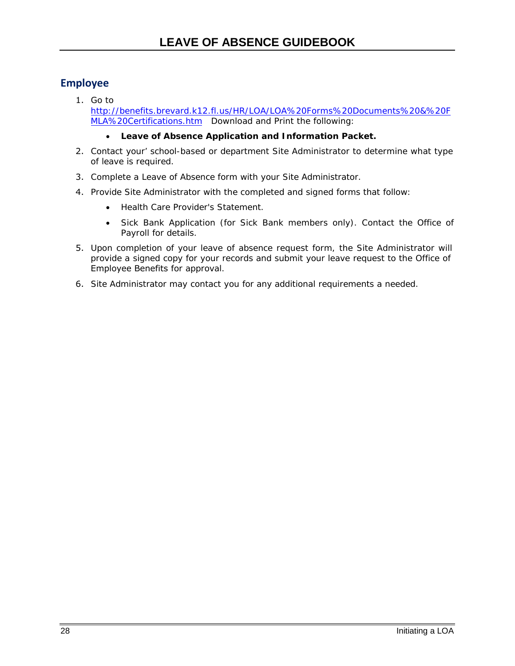### **Employee**

1. Go to [http://benefits.brevard.k12.fl.us/HR/LOA/LOA%20Forms%20Documents%20&%20F](http://benefits.brevard.k12.fl.us/HR/LOA/LOA%20Forms%20Documents%20&%20FMLA%20Certifications.htm) [MLA%20Certifications.htm](http://benefits.brevard.k12.fl.us/HR/LOA/LOA%20Forms%20Documents%20&%20FMLA%20Certifications.htm) Download and Print the following:

#### • **Leave of Absence Application and Information Packet.**

- 2. Contact your' school-based or department Site Administrator to determine what type of leave is required.
- 3. Complete a Leave of Absence form with your Site Administrator.
- 4. Provide Site Administrator with the completed and signed forms that follow:
	- Health Care Provider's Statement.
	- Sick Bank Application (for Sick Bank members only). Contact the Office of Payroll for details.
- 5. Upon completion of your leave of absence request form, the Site Administrator will provide a signed copy for your records and submit your leave request to the Office of Employee Benefits for approval.
- 6. Site Administrator may contact you for any additional requirements a needed.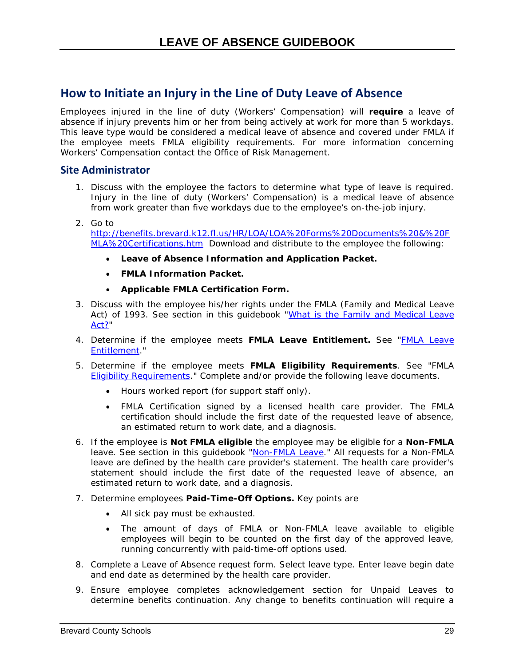## <span id="page-34-0"></span>**How to Initiate an Injury in the Line of Duty Leave of Absence**

Employees injured in the line of duty (Workers' Compensation) will **require** a leave of absence if injury prevents him or her from being actively at work for more than 5 workdays. This leave type would be considered a medical leave of absence and covered under FMLA if the employee meets FMLA eligibility requirements. For more information concerning Workers' Compensation contact the Office of Risk Management.

#### **Site Administrator**

- 1. Discuss with the employee the factors to determine what type of leave is required. Injury in the line of duty (Workers' Compensation) is a medical leave of absence from work greater than five workdays due to the employee's on-the-job injury.
- 2. Go to [http://benefits.brevard.k12.fl.us/HR/LOA/LOA%20Forms%20Documents%20&%20F](http://benefits.brevard.k12.fl.us/HR/LOA/LOA%20Forms%20Documents%20&%20FMLA%20Certifications.htm) [MLA%20Certifications.htm](http://benefits.brevard.k12.fl.us/HR/LOA/LOA%20Forms%20Documents%20&%20FMLA%20Certifications.htm) Download and distribute to the employee the following:
	- **Leave of Absence Information and Application Packet.**
	- **FMLA Information Packet.**
	- **Applicable FMLA Certification Form.**
- 3. Discuss with the employee his/her rights under the FMLA (Family and Medical Leave Act) of 1993. See section in this guidebook ["What is the Family and Medical Leave](#page-15-2) [Act?"](#page-15-2)
- 4. Determine if the employee meets **FMLA Leave Entitlement.** See ["FMLA Leave](#page-15-1) [Entitlement.](#page-15-1)"
- 5. Determine if the employee meets **FMLA Eligibility Requirements**. See "FMLA [Eligibility Requirements.](#page-16-2)" Complete and/or provide the following leave documents.
	- Hours worked report (for support staff only).
	- FMLA Certification signed by a licensed health care provider. The FMLA certification should include the first date of the requested leave of absence, an estimated return to work date, and a diagnosis.
- 6. If the employee is **Not FMLA eligible** the employee may be eligible for a **Non-FMLA** leave. See section in this guidebook ["Non-FMLA Leave.](#page-17-2)" All requests for a Non-FMLA leave are defined by the health care provider's statement. The health care provider's statement should include the first date of the requested leave of absence, an estimated return to work date, and a diagnosis.
- 7. Determine employees **Paid-Time-Off Options.** Key points are
	- All sick pay must be exhausted.
	- The amount of days of FMLA or Non-FMLA leave available to eligible employees will begin to be counted on the first day of the approved leave, running concurrently with paid-time-off options used.
- 8. Complete a Leave of Absence request form. Select leave type. Enter leave begin date and end date as determined by the health care provider.
- 9. Ensure employee completes acknowledgement section for Unpaid Leaves to determine benefits continuation. Any change to benefits continuation will require a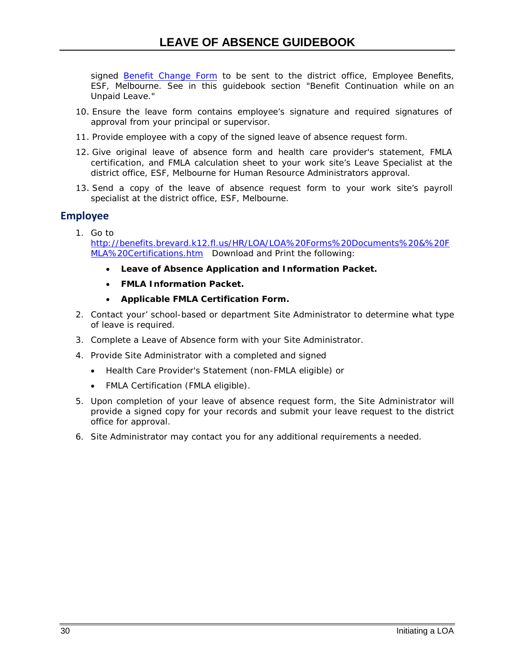signed [Benefit Change](http://benefits.brevard.k12.fl.us/HR/benefits%202013%20forward/Forms/Benefit_%20Change_%20Form.pdf) Form to be sent to the district office, Employee Benefits, ESF, Melbourne. See in this guidebook section "Benefit Continuation while on an Unpaid Leave."

- 10. Ensure the leave form contains employee's signature and required signatures of approval from your principal or supervisor.
- 11. Provide employee with a copy of the signed leave of absence request form.
- 12. Give original leave of absence form and health care provider's statement, FMLA certification, and FMLA calculation sheet to your work site's Leave Specialist at the district office, ESF, Melbourne for Human Resource Administrators approval.
- 13. Send a copy of the leave of absence request form to your work site's payroll specialist at the district office, ESF, Melbourne.

### **Employee**

- 1. Go to [http://benefits.brevard.k12.fl.us/HR/LOA/LOA%20Forms%20Documents%20&%20F](http://benefits.brevard.k12.fl.us/HR/LOA/LOA%20Forms%20Documents%20&%20FMLA%20Certifications.htm) [MLA%20Certifications.htm](http://benefits.brevard.k12.fl.us/HR/LOA/LOA%20Forms%20Documents%20&%20FMLA%20Certifications.htm) Download and Print the following:
	- **Leave of Absence Application and Information Packet.**
	- **FMLA Information Packet.**
	- **Applicable FMLA Certification Form.**
- 2. Contact your' school-based or department Site Administrator to determine what type of leave is required.
- 3. Complete a Leave of Absence form with your Site Administrator.
- 4. Provide Site Administrator with a completed and signed
	- Health Care Provider's Statement (non-FMLA eligible) or
	- FMLA Certification (FMLA eligible).
- 5. Upon completion of your leave of absence request form, the Site Administrator will provide a signed copy for your records and submit your leave request to the district office for approval.
- 6. Site Administrator may contact you for any additional requirements a needed.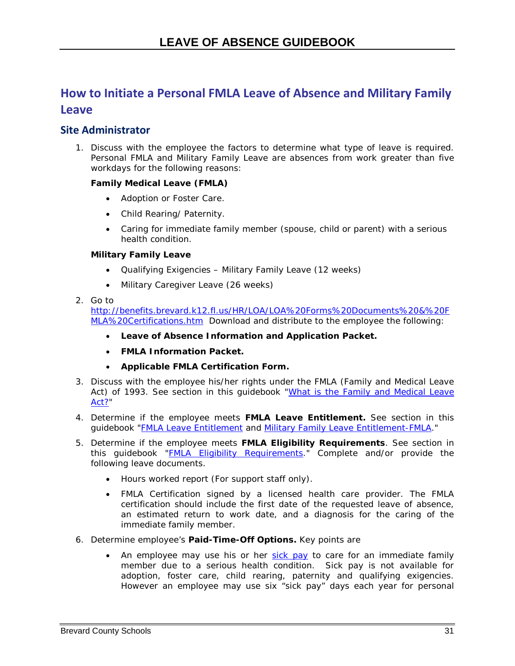## <span id="page-36-0"></span>**How to Initiate a Personal FMLA Leave of Absence and Military Family Leave**

### **Site Administrator**

1. Discuss with the employee the factors to determine what type of leave is required. Personal FMLA and Military Family Leave are absences from work greater than five workdays for the following reasons:

#### **Family Medical Leave (FMLA)**

- <span id="page-36-1"></span>• Adoption or Foster Care.
- Child Rearing/ Paternity.
- Caring for immediate family member (spouse, child or parent) with a serious health condition.

#### **Military Family Leave**

- Qualifying Exigencies Military Family Leave (12 weeks)
- Military Caregiver Leave (26 weeks)

#### 2. Go to

[http://benefits.brevard.k12.fl.us/HR/LOA/LOA%20Forms%20Documents%20&%20F](http://benefits.brevard.k12.fl.us/HR/LOA/LOA%20Forms%20Documents%20&%20FMLA%20Certifications.htm) [MLA%20Certifications.htm](http://benefits.brevard.k12.fl.us/HR/LOA/LOA%20Forms%20Documents%20&%20FMLA%20Certifications.htm) Download and distribute to the employee the following:

- **Leave of Absence Information and Application Packet.**
- **FMLA Information Packet.**
- **Applicable FMLA Certification Form.**
- 3. Discuss with the employee his/her rights under the FMLA (Family and Medical Leave Act) of 1993. See section in this guidebook ["What is the Family and Medical Leave](#page-15-2) Act?
- 4. Determine if the employee meets **FMLA Leave Entitlement.** See section in this guidebook ["FMLA Leave Entitlement](#page-15-1) and [Military Family Leave Entitlement-FMLA.](#page-16-0)"
- 5. Determine if the employee meets **FMLA Eligibility Requirements**. See section in this guidebook ["FMLA Eligibility Requirements.](#page-16-2)" Complete and/or provide the following leave documents.
	- Hours worked report (For support staff only).
	- FMLA Certification signed by a licensed health care provider. The FMLA certification should include the first date of the requested leave of absence, an estimated return to work date, and a diagnosis for the caring of the immediate family member.
- 6. Determine employee's **Paid-Time-Off Options.** Key points are
	- An employee may use his or her [sick pay](http://www.flsenate.gov/Statutes/index.cfm?App_mode=Display_Statute&Search_String=&URL=1000-1099/1012/Sections/1012.61.html) to care for an immediate family member due to a serious health condition. Sick pay is not available for adoption, foster care, child rearing, paternity and qualifying exigencies. However an employee may use six "sick pay" days each year for personal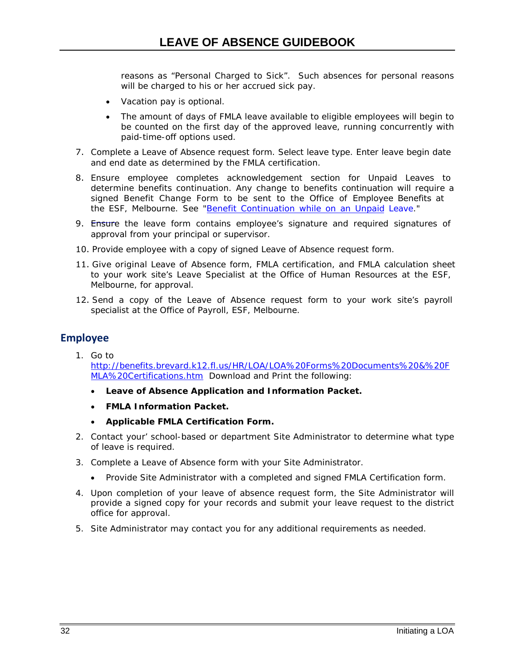reasons as "Personal Charged to Sick". Such absences for personal reasons will be charged to his or her accrued sick pay.

- Vacation pay is optional.
- The amount of days of FMLA leave available to eligible employees will begin to be counted on the first day of the approved leave, running concurrently with paid-time-off options used.
- 7. Complete a Leave of Absence request form. Select leave type. Enter leave begin date and end date as determined by the FMLA certification.
- 8. Ensure employee completes acknowledgement section for Unpaid Leaves to determine benefits continuation. Any change to benefits continuation will require a signed Benefit Change Form to be sent to the Office of Employee Benefits at the ESF, Melbourne. See "Benefit Continu[ation while](#page-45-0) on an Unpaid Leave."
- 9. [Ensure](#page-45-0) the leave form contains employee's signature and required signatures of approval from your principal or supervisor.
- 10. Provide employee with a copy of signed Leave of Absence request form.
- 11. Give original Leave of Absence form, FMLA certification, and FMLA calculation sheet to your work site's Leave Specialist at the Office of Human Resources at the ESF, Melbourne, for approval.
- 12. Send a copy of the Leave of Absence request form to your work site's payroll specialist at the Office of Payroll, ESF, Melbourne.

#### **Employee**

- 1. Go to [http://benefits.brevard.k12.fl.us/HR/LOA/LOA%20Forms%20Documents%20&%20F](http://benefits.brevard.k12.fl.us/HR/LOA/LOA%20Forms%20Documents%20&%20FMLA%20Certifications.htm) [MLA%20Certifications.htm](http://benefits.brevard.k12.fl.us/HR/LOA/LOA%20Forms%20Documents%20&%20FMLA%20Certifications.htm) Download and Print the following:
	- **Leave of Absence Application and Information Packet.**
	- **FMLA Information Packet.**
	- **Applicable FMLA Certification Form.**
- 2. Contact your' school-based or department Site Administrator to determine what type of leave is required.
- 3. Complete a Leave of Absence form with your Site Administrator.
	- Provide Site Administrator with a completed and signed FMLA Certification form.
- 4. Upon completion of your leave of absence request form, the Site Administrator will provide a signed copy for your records and submit your leave request to the district office for approval.
- 5. Site Administrator may contact you for any additional requirements as needed.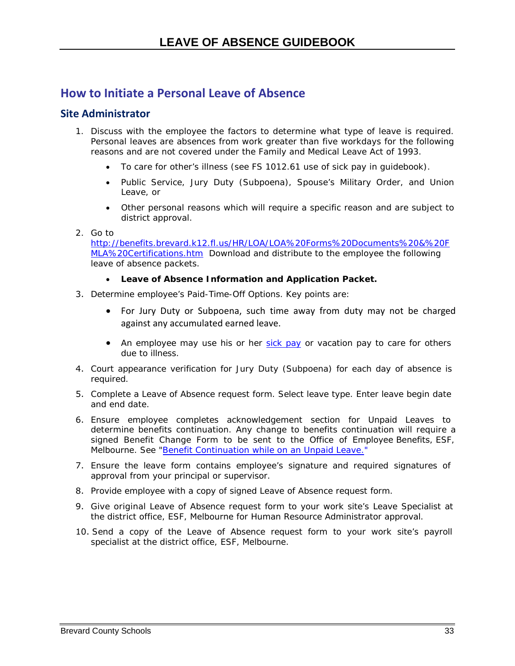### <span id="page-38-0"></span>**How to Initiate a Personal Leave of Absence**

#### **Site Administrator**

- 1. Discuss with the employee the factors to determine what type of leave is required. Personal leaves are absences from work greater than five workdays for the following reasons and are not covered under the Family and Medical Leave Act of 1993.
	- To care for other's illness (see FS 1012.61 use of sick pay in guidebook).
	- Public Service, Jury Duty (Subpoena), Spouse's Military Order, and Union Leave, or
	- Other personal reasons which will require a specific reason and are subject to district approval.
- 2. Go to

[http://benefits.brevard.k12.fl.us/HR/LOA/LOA%20Forms%20Documents%20&%20F](http://benefits.brevard.k12.fl.us/HR/LOA/LOA%20Forms%20Documents%20&%20FMLA%20Certifications.htm) [MLA%20Certifications.htm](http://benefits.brevard.k12.fl.us/HR/LOA/LOA%20Forms%20Documents%20&%20FMLA%20Certifications.htm) Download and distribute to the employee the following leave of absence packets.

- **Leave of Absence Information and Application Packet.**
- 3. Determine employee's Paid-Time-Off Options. Key points are:
	- For Jury Duty or Subpoena, such time away from duty may not be charged against any accumulated earned leave.
	- An employee may use his or he[r sick pay](http://www.flsenate.gov/Statutes/index.cfm?App_mode=Display_Statute&Search_String=&URL=1000-1099/1012/Sections/1012.61.html) or vacation pay to care for others due to illness.
- 4. Court appearance verification for Jury Duty (Subpoena) for each day of absence is required.
- 5. Complete a Leave of Absence request form. Select leave type. Enter leave begin date and end date.
- 6. Ensure employee completes acknowledgement section for Unpaid Leaves to determine benefits continuation. Any change to benefits continuation will require a signed Benefit Change Form to be sent to the Office of Employee Benefits, ESF, Melbourne. See "Benefit Continuation while on an Unpaid [Leave."](#page-45-1)
- 7. Ensure the leave form contains employee's signature and required signatures of approval from your principal or supervisor.
- 8. Provide employee with a copy of signed Leave of Absence request form.
- 9. Give original Leave of Absence request form to your work site's Leave Specialist at the district office, ESF, Melbourne for Human Resource Administrator approval.
- 10. Send a copy of the Leave of Absence request form to your work site's payroll specialist at the district office, ESF, Melbourne.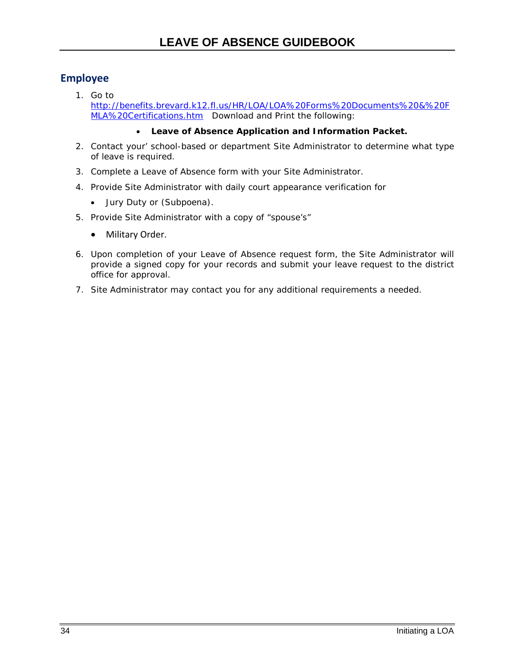### **Employee**

1. Go to [http://benefits.brevard.k12.fl.us/HR/LOA/LOA%20Forms%20Documents%20&%20F](http://benefits.brevard.k12.fl.us/HR/LOA/LOA%20Forms%20Documents%20&%20FMLA%20Certifications.htm) [MLA%20Certifications.htm](http://benefits.brevard.k12.fl.us/HR/LOA/LOA%20Forms%20Documents%20&%20FMLA%20Certifications.htm) Download and Print the following:

#### • **Leave of Absence Application and Information Packet.**

- 2. Contact your' school-based or department Site Administrator to determine what type of leave is required.
- 3. Complete a Leave of Absence form with your Site Administrator.
- 4. Provide Site Administrator with daily court appearance verification for
	- Jury Duty or (Subpoena).
- 5. Provide Site Administrator with a copy of "spouse's"
	- Military Order.
- 6. Upon completion of your Leave of Absence request form, the Site Administrator will provide a signed copy for your records and submit your leave request to the district office for approval.
- 7. Site Administrator may contact you for any additional requirements a needed.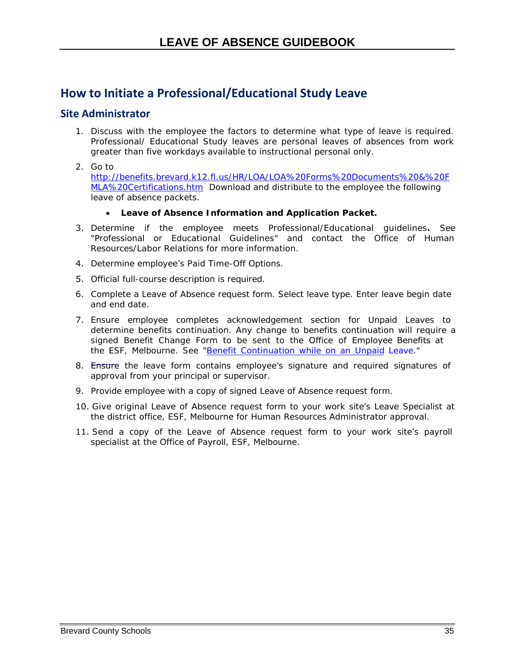## <span id="page-40-0"></span>**How to Initiate a Professional/Educational Study Leave**

#### **Site Administrator**

- 1. Discuss with the employee the factors to determine what type of leave is required. Professional/ Educational Study leaves are personal leaves of absences from work greater than five workdays available to instructional personal only.
- 2. Go to

[http://benefits.brevard.k12.fl.us/HR/LOA/LOA%20Forms%20Documents%20&%20F](http://benefits.brevard.k12.fl.us/HR/LOA/LOA%20Forms%20Documents%20&%20FMLA%20Certifications.htm) [MLA%20Certifications.htm](http://benefits.brevard.k12.fl.us/HR/LOA/LOA%20Forms%20Documents%20&%20FMLA%20Certifications.htm) Download and distribute to the employee the following leave of absence packets.

- <span id="page-40-1"></span>• **Leave of Absence Information and Application Packet.**
- 3. Determine if the employee meets Professional/Educational guidelines**.** See "Professional or Educational Guidelines" and contact the Office of Human Resources/Labor Relations for more information.
- 4. Determine employee's Paid Time-Off Options.
- 5. Official full-course description is required.
- 6. Complete a Leave of Absence request form. Select leave type. Enter leave begin date and end date.
- 7. Ensure employee completes acknowledgement section for Unpaid Leaves to determine benefits continuation. Any change to benefits continuation will require a signed Benefit Change Form to be sent to the Office of Employee Benefits at the ESF, Melbourne. See "Benefit Continu[ation while](#page-45-1) on an Unpaid Leave."
- 8. [Ensure](#page-45-1) the leave form contains employee's signature and required signatures of approval from your principal or supervisor.
- 9. Provide employee with a copy of signed Leave of Absence request form.
- 10. Give original Leave of Absence request form to your work site's Leave Specialist at the district office, ESF, Melbourne for Human Resources Administrator approval.
- 11. Send a copy of the Leave of Absence request form to your work site's payroll specialist at the Office of Payroll, ESF, Melbourne.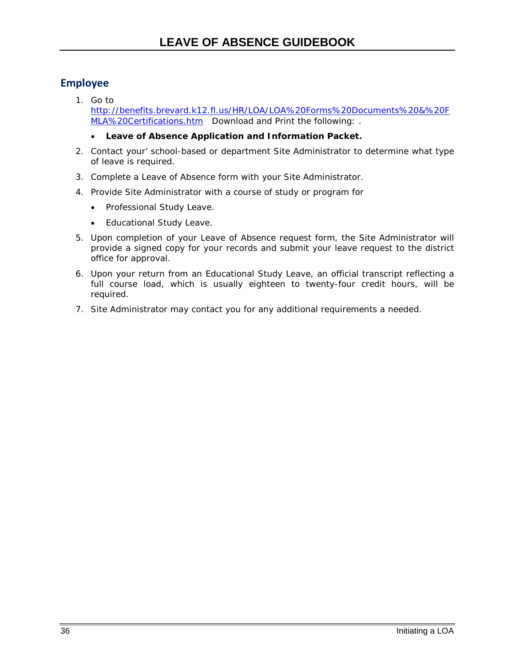### **Employee**

- 1. Go to [http://benefits.brevard.k12.fl.us/HR/LOA/LOA%20Forms%20Documents%20&%20F](http://www.edline.net/pages/Brevard_County_Schools/Departments/Departments__K-Z/HumanResources/Leave_of_Absence) [MLA%20Certifications.htm](http://benefits.brevard.k12.fl.us/HR/LOA/LOA%20Forms%20Documents%20&%20FMLA%20Certifications.htm) Download and Print the following: *.*
	- **Leave of Absence Application and Information Packet.**
- 2. Contact your' school-based or department Site Administrator to determine what type of leave is required.
- 3. Complete a Leave of Absence form with your Site Administrator.
- 4. Provide Site Administrator with a course of study or program for
	- Professional Study Leave.
	- Educational Study Leave.
- 5. Upon completion of your Leave of Absence request form, the Site Administrator will provide a signed copy for your records and submit your leave request to the district office for approval.
- 6. Upon your return from an Educational Study Leave, an official transcript reflecting a full course load, which is usually eighteen to twenty-four credit hours, will be required.
- 7. Site Administrator may contact you for any additional requirements a needed.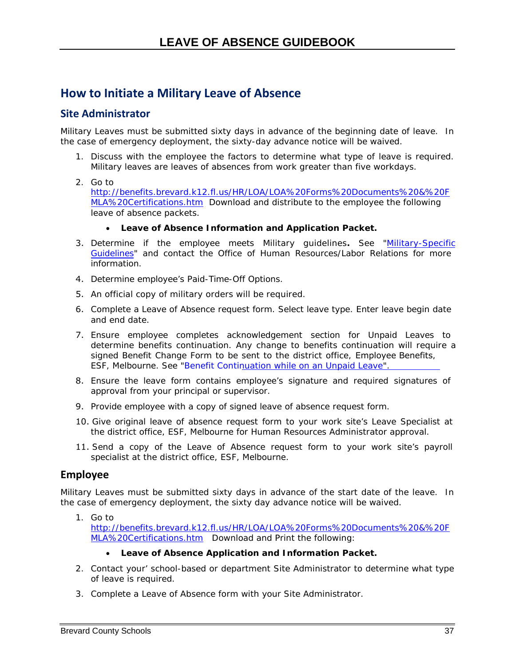## <span id="page-42-0"></span>**How to Initiate a Military Leave of Absence**

### **Site Administrator**

Military Leaves must be submitted sixty days in advance of the beginning date of leave. In the case of emergency deployment, the sixty-day advance notice will be waived.

- 1. Discuss with the employee the factors to determine what type of leave is required. Military leaves are leaves of absences from work greater than five workdays.
- 2. Go to

[http://benefits.brevard.k12.fl.us/HR/LOA/LOA%20Forms%20Documents%20&%20F](http://benefits.brevard.k12.fl.us/HR/LOA/LOA%20Forms%20Documents%20&%20FMLA%20Certifications.htm) [MLA%20Certifications.htm](http://benefits.brevard.k12.fl.us/HR/LOA/LOA%20Forms%20Documents%20&%20FMLA%20Certifications.htm) Download and distribute to the employee the following leave of absence packets.

#### • **Leave of Absence Information and Application Packet.**

- 3. Determine if the employee meets Military guidelines**.** See ["Military-Specific](#page-26-2) [Guidelines"](#page-26-2) and contact the Office of Human Resources/Labor Relations for more information.
- 4. Determine employee's Paid-Time-Off Options.
- 5. An official copy of military orders will be required.
- 6. Complete a Leave of Absence request form. Select leave type. Enter leave begin date and end date.
- 7. Ensure employee completes acknowledgement section for Unpaid Leaves to determine benefits continuation. Any change to benefits continuation will require a signed Benefit Change Form to be sent to the district office, Employee Benefits, ESF, Melbourne. See "Benefit [Continuation](#page-45-1) while on an Unpaid Leave".
- 8. Ensure the leave form contains employee's signature and required signatures of approval from your principal or supervisor.
- 9. Provide employee with a copy of signed leave of absence request form.
- 10. Give original leave of absence request form to your work site's Leave Specialist at the district office, ESF, Melbourne for Human Resources Administrator approval.
- 11. Send a copy of the Leave of Absence request form to your work site's payroll specialist at the district office, ESF, Melbourne.

#### **Employee**

Military Leaves must be submitted sixty days in advance of the start date of the leave. In the case of emergency deployment, the sixty day advance notice will be waived.

#### 1. Go to

[http://benefits.brevard.k12.fl.us/HR/LOA/LOA%20Forms%20Documents%20&%20F](http://benefits.brevard.k12.fl.us/HR/LOA/LOA%20Forms%20Documents%20&%20FMLA%20Certifications.htm) [MLA%20Certifications.htm](http://benefits.brevard.k12.fl.us/HR/LOA/LOA%20Forms%20Documents%20&%20FMLA%20Certifications.htm) Download and Print the following:

#### • **Leave of Absence Application and Information Packet.**

- 2. Contact your' school-based or department Site Administrator to determine what type of leave is required.
- 3. Complete a Leave of Absence form with your Site Administrator.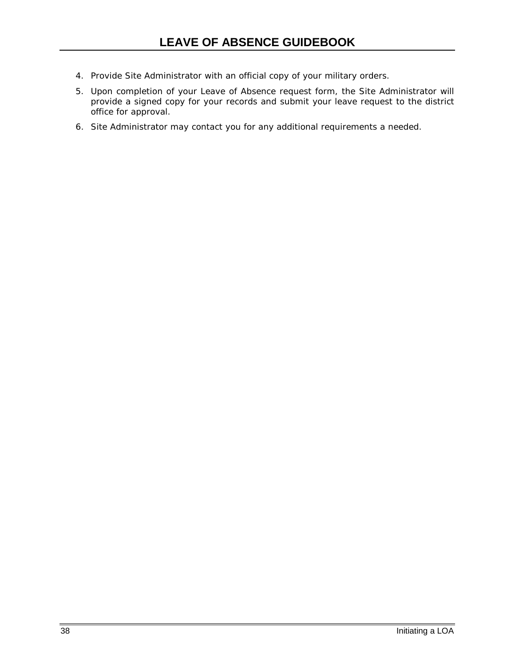- 4. Provide Site Administrator with an official copy of your military orders.
- 5. Upon completion of your Leave of Absence request form, the Site Administrator will provide a signed copy for your records and submit your leave request to the district office for approval.
- 6. Site Administrator may contact you for any additional requirements a needed.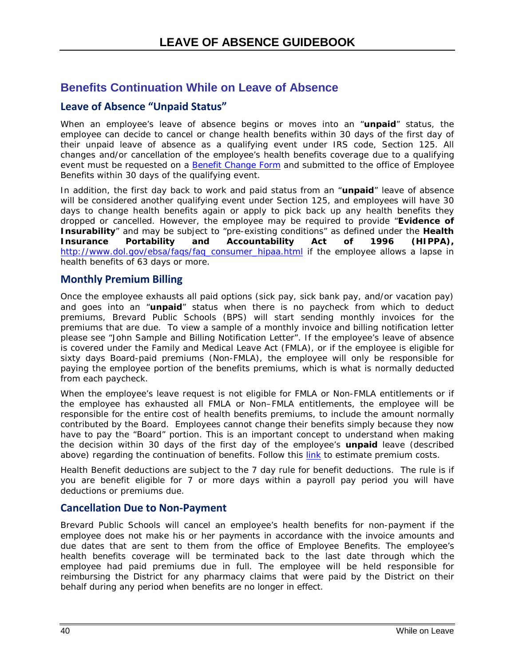### <span id="page-45-0"></span>**Benefits Continuation While on Leave of Absence**

### <span id="page-45-1"></span>**Leave of Absence "Unpaid Status"**

When an employee's leave of absence begins or moves into an "*unpaid"* status, the employee can decide to cancel or change health benefits within 30 days of the first day of their unpaid leave of absence as a qualifying event under IRS code, Section 125. All changes and/or cancellation of the employee's health benefits coverage due to a qualifying event must be requested on a [Benefit Change Form](http://www.edline.net/dynimg/_zKAAA_/docid/0x39F30686561EEE74/1/2014%2BBenefit%2BChange%2BForm.pdf) and submitted to the office of Employee Benefits within 30 days of the qualifying event.

In addition, the first day back to work and paid status from an "*unpaid"* leave of absence will be considered another qualifying event under Section 125, and employees will have 30 days to change health benefits again or apply to pick back up any health benefits they dropped or cancelled. However, the employee may be required to provide "**Evidence of Insurability**" and may be subject to "pre-existing conditions" as defined under the **Health Insurance Portability and Accountability Act of 1996 (HIPPA),** [http://www.dol.gov/ebsa/faqs/faq\\_consumer\\_hipaa.html](http://www.dol.gov/ebsa/faqs/faq_consumer_hipaa.html) if the employee allows a lapse in health benefits of 63 days or more.

#### **Monthly Premium Billing**

Once the employee exhausts all paid options (sick pay, sick bank pay, and/or vacation pay) and goes into an "*unpaid"* status when there is no paycheck from which to deduct premiums, Brevard Public Schools (BPS) will start sending monthly invoices for the premiums that are due. To view a sample of a monthly invoice and billing notification letter please see "John Sample and Billing Notification Letter". If the employee's leave of absence is covered under the Family and Medical Leave Act (FMLA), or if the employee is eligible for sixty days Board-paid premiums (Non-FMLA), the employee will only be responsible for paying the employee portion of the benefits premiums, which is what is normally deducted from each paycheck.

When the employee's leave request is not eligible for FMLA or Non-FMLA entitlements or if the employee has exhausted all FMLA or Non–FMLA entitlements, the employee will be responsible for the entire cost of health benefits premiums, to include the amount normally contributed by the Board. *Employees cannot change their benefits simply because they now have to pay the "Board" portion. This is an important concept to understand when making the decision within 30 days of the first day of the employee's unpaid leave (described above) regarding the continuation of benefits. Follow this [link](http://benefits.brevard.k12.fl.us/HR/benefits%202013%20forward/Other%20Info/Benefits%20Cost%20Per%20Pay%20Period.pdf) to estimate premium costs.*

Health Benefit deductions are subject to the 7 day rule for benefit deductions. The rule is if you are benefit eligible for 7 or more days within a payroll pay period you will have deductions or premiums due.

#### **Cancellation Due to Non-Payment**

Brevard Public Schools will cancel an employee's health benefits for non-payment if the employee does not make his or her payments in accordance with the invoice amounts and due dates that are sent to them from the office of Employee Benefits. The employee's health benefits coverage will be terminated back to the last date through which the employee had paid premiums due in full. The employee will be held responsible for reimbursing the District for any pharmacy claims that were paid by the District on their behalf during any period when benefits are no longer in effect.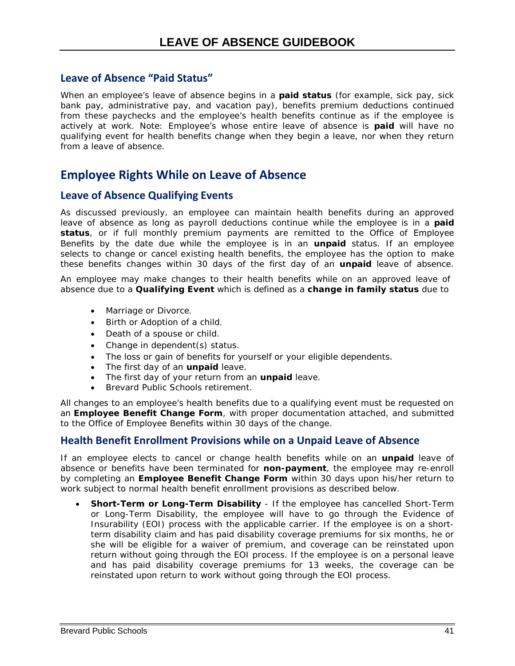### **Leave of Absence "Paid Status"**

When an employee's leave of absence begins in a *paid status* (for example, sick pay, sick bank pay, administrative pay, and vacation pay), benefits premium deductions continued from these paychecks and the employee's health benefits continue as if the employee is actively at work. Note: Employee's whose entire leave of absence is *paid* will have no qualifying event for health benefits change when they begin a leave, nor when they return from a leave of absence.

### <span id="page-46-0"></span>**Employee Rights While on Leave of Absence**

#### <span id="page-46-1"></span>**Leave of Absence Qualifying Events**

As discussed previously, an employee can maintain health benefits during an approved leave of absence as long as payroll deductions continue while the employee is in a *paid status*, or if full monthly premium payments are remitted to the Office of Employee Benefits by the date due while the employee is in an *unpaid* status. If an employee selects to change or cancel existing health benefits, the employee has the option to make these benefits changes within 30 days of the first day of an *unpaid* leave of absence.

An employee may make changes to their health benefits while on an approved leave of absence due to a *Qualifying Event* which is defined as a *change in family status* due to

- Marriage or Divorce.
- Birth or Adoption of a child.
- Death of a spouse or child.
- Change in dependent(s) status.
- The loss or gain of benefits for yourself or your eligible dependents.
- The first day of an *unpaid* leave.
- The first day of your return from an *unpaid* leave.
- Brevard Public Schools retirement.

All changes to an employee's health benefits due to a qualifying event must be requested on an **Employee Benefit Change Form**, with proper documentation attached, and submitted to the Office of Employee Benefits within 30 days of the change.

#### **Health Benefit Enrollment Provisions while on a Unpaid Leave of Absence**

If an employee elects to cancel or change health benefits while on an *unpaid* leave of absence or benefits have been terminated for *non-payment*, the employee may re-enroll by completing an **Employee Benefit Change Form** within 30 days upon his/her return to work subject to normal health benefit enrollment provisions as described below.

• **Short-Term or Long-Term Disability** - If the employee has cancelled Short-Term or Long-Term Disability, the employee will have to go through the Evidence of Insurability (EOI) process with the applicable carrier. If the employee is on a shortterm disability claim and has paid disability coverage premiums for six months, he or she will be eligible for a waiver of premium, and coverage can be reinstated upon return without going through the EOI process. If the employee is on a personal leave and has paid disability coverage premiums for 13 weeks, the coverage can be reinstated upon return to work without going through the EOI process.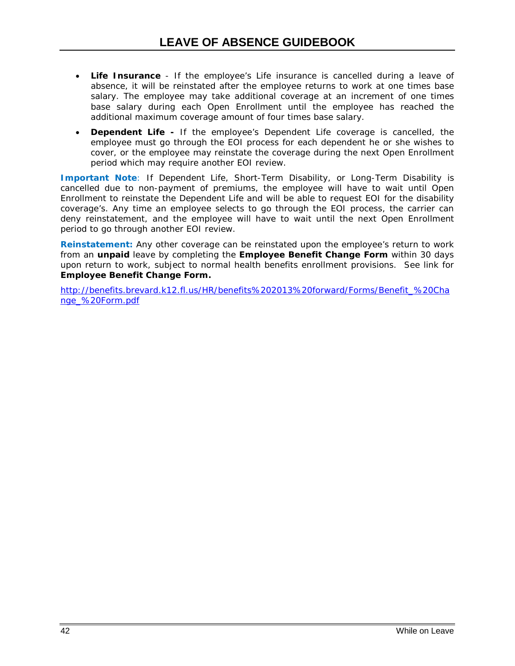- **Life Insurance** If the employee's Life insurance is cancelled during a leave of absence, it will be reinstated after the employee returns to work at one times base salary. The employee may take additional coverage at an increment of one times base salary during each Open Enrollment until the employee has reached the additional maximum coverage amount of four times base salary.
- **Dependent Life -** If the employee's Dependent Life coverage is cancelled, the employee must go through the EOI process for each dependent he or she wishes to cover, or the employee may reinstate the coverage during the next Open Enrollment period which may require another EOI review.

**Important Note**: If Dependent Life, Short-Term Disability, or Long-Term Disability is cancelled due to non-payment of premiums, the employee will have to wait until Open Enrollment to reinstate the Dependent Life and will be able to request EOI for the disability coverage's. Any time an employee selects to go through the EOI process, the carrier can deny reinstatement, and the employee will have to wait until the next Open Enrollment period to go through another EOI review.

**Reinstatement:** Any other coverage can be reinstated upon the employee's return to work from an *unpaid* leave by completing the **Employee Benefit Change Form** within 30 days upon return to work, subject to normal health benefits enrollment provisions. See link for **Employee Benefit Change Form.**

[http://benefits.brevard.k12.fl.us/HR/benefits%202013%20forward/Forms/Benefit\\_%20Cha](http://benefits.brevard.k12.fl.us/HR/benefits%202013%20forward/Forms/Benefit_%20Change_%20Form.pdf) [nge\\_%20Form.pdf](http://benefits.brevard.k12.fl.us/HR/benefits%202013%20forward/Forms/Benefit_%20Change_%20Form.pdf)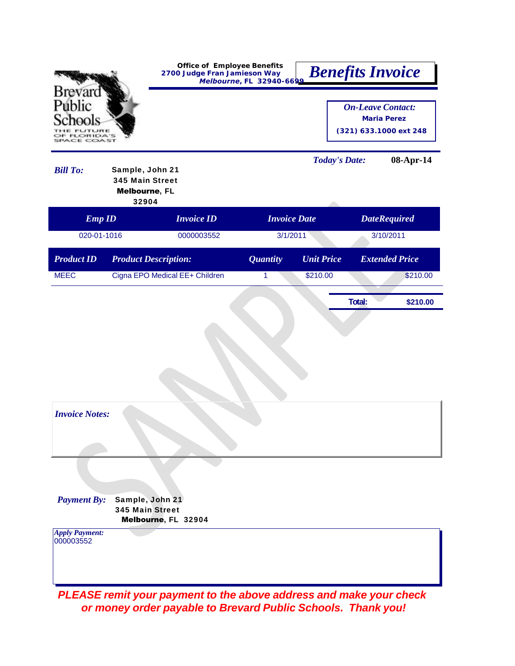|                                    |                                                                     | <b>Office of Employee Benefits</b><br>2700 Judge Fran Jamieson Way<br>Melbourne, FL 32940-6699 | <b>Benefits Invoice</b> |                      |                                                |                        |
|------------------------------------|---------------------------------------------------------------------|------------------------------------------------------------------------------------------------|-------------------------|----------------------|------------------------------------------------|------------------------|
| Brevard<br>Public                  | $2A \leq 1$                                                         |                                                                                                |                         |                      | <b>On-Leave Contact:</b><br><b>Maria Perez</b> | (321) 633.1000 ext 248 |
| <b>Bill To:</b>                    | Sample, John 21<br><b>345 Main Street</b><br>Melbourne, FL<br>32904 |                                                                                                |                         | <b>Today's Date:</b> |                                                | 08-Apr-14              |
| <b>Emp ID</b>                      |                                                                     | <b>Invoice ID</b>                                                                              | <b>Invoice Date</b>     |                      |                                                | <b>DateRequired</b>    |
| 020-01-1016                        |                                                                     | 0000003552                                                                                     | 3/1/2011                |                      |                                                | 3/10/2011              |
| <b>Product ID</b>                  | <b>Product Description:</b>                                         |                                                                                                | <b>Quantity</b>         | <b>Unit Price</b>    |                                                | <b>Extended Price</b>  |
| <b>MEEC</b>                        |                                                                     | Cigna EPO Medical EE+ Children                                                                 | 1                       | \$210.00             |                                                | \$210.00               |
|                                    |                                                                     |                                                                                                |                         |                      | Total:                                         | \$210.00               |
|                                    |                                                                     |                                                                                                |                         |                      |                                                |                        |
|                                    |                                                                     |                                                                                                |                         |                      |                                                |                        |
|                                    |                                                                     |                                                                                                |                         |                      |                                                |                        |
|                                    |                                                                     |                                                                                                |                         |                      |                                                |                        |
|                                    |                                                                     |                                                                                                |                         |                      |                                                |                        |
|                                    |                                                                     |                                                                                                |                         |                      |                                                |                        |
| <b>Invoice Notes:</b>              |                                                                     |                                                                                                |                         |                      |                                                |                        |
|                                    |                                                                     |                                                                                                |                         |                      |                                                |                        |
|                                    |                                                                     |                                                                                                |                         |                      |                                                |                        |
|                                    |                                                                     |                                                                                                |                         |                      |                                                |                        |
| <b>Payment By:</b>                 | Sample, John 21                                                     |                                                                                                |                         |                      |                                                |                        |
|                                    | <b>345 Main Street</b>                                              | Melbourne, FL 32904                                                                            |                         |                      |                                                |                        |
| <b>Apply Payment:</b><br>000003552 |                                                                     |                                                                                                |                         |                      |                                                |                        |
|                                    |                                                                     |                                                                                                |                         |                      |                                                |                        |
|                                    |                                                                     |                                                                                                |                         |                      |                                                |                        |
|                                    |                                                                     |                                                                                                |                         |                      |                                                |                        |

*or money order payable to Brevard Public Schools. Thank you!*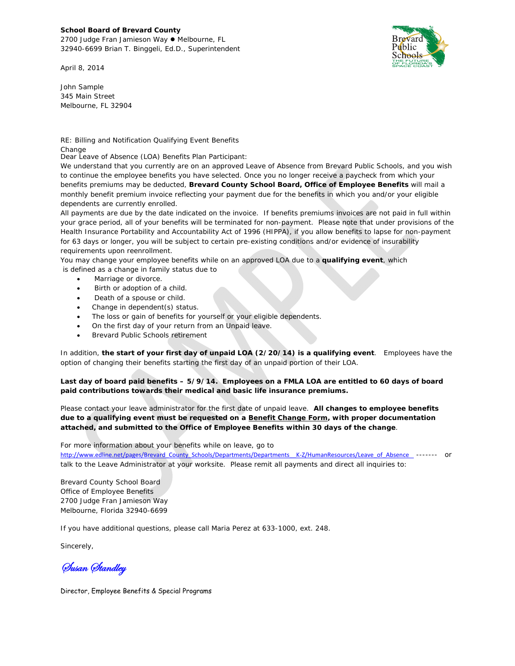#### **School Board of Brevard County**

2700 Judge Fran Jamieson Way ● Melbourne, FL 32940-6699 Brian T. Binggeli, Ed.D., Superintendent

April 8, 2014

Brevar Public Schools

John Sample 345 Main Street Melbourne, FL 32904

RE: Billing and Notification Qualifying Event Benefits Change

Dear Leave of Absence (LOA) Benefits Plan Participant:

We understand that you currently are on an approved Leave of Absence from Brevard Public Schools, and you wish to continue the employee benefits you have selected. Once you no longer receive a paycheck from which your benefits premiums may be deducted, **Brevard County School Board, Office of Employee Benefits** will mail a monthly benefit premium invoice reflecting your payment due for the benefits in which you and/or your eligible dependents are currently enrolled.

All payments are due by the date indicated on the invoice. If benefits premiums invoices are not paid in full within your grace period, all of your benefits will be terminated for non-payment. Please note that under provisions of the Health Insurance Portability and Accountability Act of 1996 (HIPPA), if you allow benefits to lapse for non-payment for 63 days or longer, you will be subject to certain pre-existing conditions and/or evidence of insurability requirements upon reenrollment.

You may change your employee benefits while on an approved LOA due to a **qualifying event**, which is defined as a change in family status due to

- Marriage or divorce.
- Birth or adoption of a child.
- Death of a spouse or child.
- Change in dependent(s) status.
- The loss or gain of benefits for yourself or your eligible dependents.
- On the first day of your return from an Unpaid leave.
- Brevard Public Schools retirement

In addition, **the start of your first day of unpaid LOA (2/20/14) is a qualifying event**. Employees have the option of changing their benefits starting the first day of an unpaid portion of their LOA.

**Last day of board paid benefits – 5/9/14. Employees on a FMLA LOA are entitled to 60 days of board paid contributions towards their medical and basic life insurance premiums.** 

Please contact your leave administrator for the first date of unpaid leave. **All changes to employee benefits due to a qualifying event must be requested on a Benefit Change Form, with proper documentation attached, and submitted to the Office of Employee Benefits within 30 days of the change**.

#### For more information about your benefits while on leave, go to

http://www.edline.net/pages/Brevard\_County\_Schools/Departments/Departments\_K-Z/HumanResources/Leave\_of\_Absence \_\_------ or talk to the Leave Administrator at your worksite. Please remit all payments and direct all inquiries to:

Brevard County School Board Office of Employee Benefits 2700 Judge Fran Jamieson Way Melbourne, Florida 32940-6699

If you have additional questions, please call Maria Perez at 633-1000, ext. 248.

Sincerely,

Susan Standley

Director, Employee Benefits & Special Programs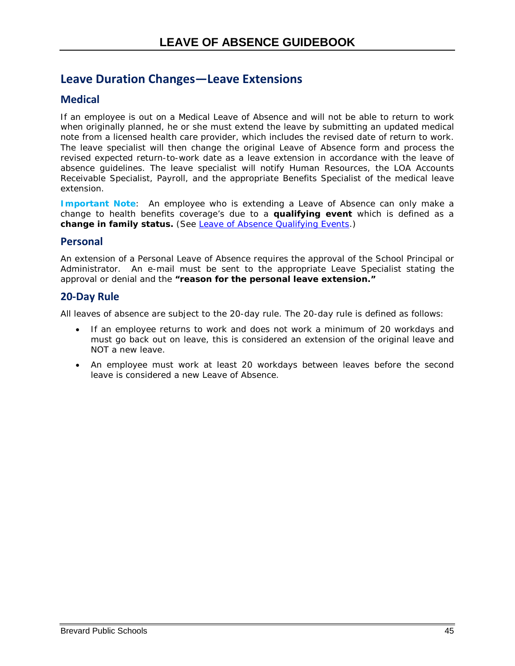## <span id="page-50-0"></span>**Leave Duration Changes—Leave Extensions**

### **Medical**

If an employee is out on a Medical Leave of Absence and will not be able to return to work when originally planned, he or she must extend the leave by submitting an updated medical note from a licensed health care provider, which includes the revised date of return to work. The leave specialist will then change the original Leave of Absence form and process the revised expected return-to-work date as a leave extension in accordance with the leave of absence guidelines. The leave specialist will notify Human Resources, the LOA Accounts Receivable Specialist, Payroll, and the appropriate Benefits Specialist of the medical leave extension.

**Important Note**: An employee who is extending a Leave of Absence can only make a change to health benefits coverage's due to a *qualifying event* which is defined as a *change in family status***.** (See [Leave of Absence Qualifying Events.](#page-46-1))

#### **Personal**

An extension of a Personal Leave of Absence requires the approval of the School Principal or Administrator. An e-mail must be sent to the appropriate Leave Specialist stating the approval or denial and the *"reason for the personal leave extension."*

### **20-Day Rule**

All leaves of absence are subject to the 20-day rule. The 20-day rule is defined as follows:

- If an employee returns to work and does not work a minimum of 20 workdays and must go back out on leave, this is considered an extension of the original leave and NOT a new leave.
- An employee must work at least 20 workdays between leaves before the second leave is considered a new Leave of Absence.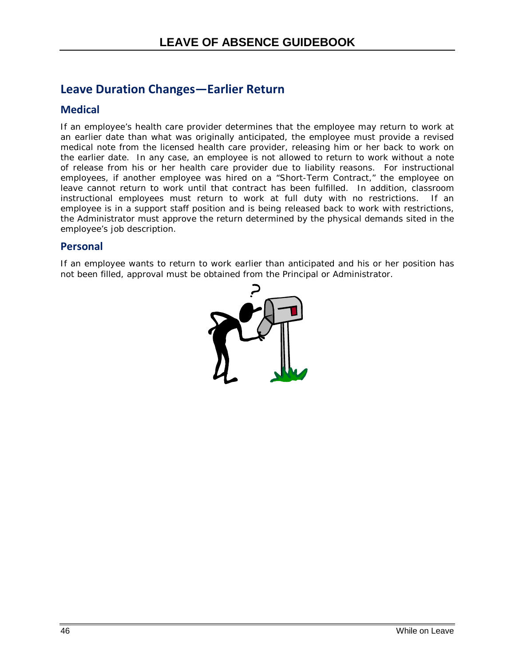## <span id="page-51-0"></span>**Leave Duration Changes—Earlier Return**

### **Medical**

If an employee's health care provider determines that the employee may return to work at an earlier date than what was originally anticipated, the employee must provide a revised medical note from the licensed health care provider, releasing him or her back to work on the earlier date. In any case, an employee is not allowed to return to work without a note of release from his or her health care provider due to liability reasons. For instructional employees, if another employee was hired on a "Short-Term Contract," the employee on leave cannot return to work until that contract has been fulfilled. In addition, classroom instructional employees must return to work at full duty with no restrictions. If an employee is in a support staff position and is being released back to work with restrictions, the Administrator must approve the return determined by the physical demands sited in the employee's job description.

#### **Personal**

If an employee wants to return to work earlier than anticipated and his or her position has not been filled, approval must be obtained from the Principal or Administrator.

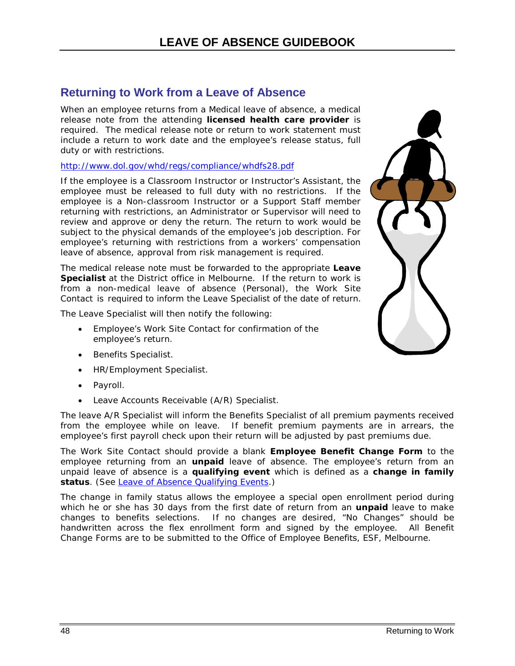### <span id="page-53-0"></span>**Returning to Work from a Leave of Absence**

When an employee returns from a Medical leave of absence, a medical release note from the attending **licensed health care provider** is required. The medical release note or return to work statement must include a return to work date and the employee's release status, full duty or with restrictions.

#### <http://www.dol.gov/whd/regs/compliance/whdfs28.pdf>

If the employee is a Classroom Instructor or Instructor's Assistant, the employee must be released to full duty with no restrictions. If the employee is a Non-classroom Instructor or a Support Staff member returning with restrictions, an Administrator or Supervisor will need to review and approve or deny the return. The return to work would be subject to the physical demands of the employee's job description. For employee's returning with restrictions from a workers' compensation leave of absence, approval from risk management is required.

The medical release note must be forwarded to the appropriate **[Leave](#page-60-0)  [Specialist](#page-60-0)** at the District office in Melbourne. If the return to work is from a non-medical leave of absence (Personal), the Work Site Contact is required to inform the Leave Specialist of the date of return.

The Leave Specialist will then notify the following:

- Employee's Work Site Contact for confirmation of the employee's return.
- Benefits Specialist.
- HR/Employment Specialist.
- Payroll.
- Leave Accounts Receivable (A/R) Specialist.

The leave A/R Specialist will inform the Benefits Specialist of all premium payments received from the employee while on leave. If benefit premium payments are in arrears, the employee's first payroll check upon their return will be adjusted by past premiums due.

The Work Site Contact should provide a blank *Employee Benefit Change Form* to the employee returning from an *unpaid* leave of absence. The employee's return from an unpaid leave of absence is a *qualifying event* which is defined as a *change in family*  status. (Se[e Leave of Absence Qualifying Events.](#page-46-1))

The change in family status allows the employee a special open enrollment period during which he or she has 30 days from the first date of return from an *unpaid* leave to make changes to benefits selections. If no changes are desired, "No Changes" should be handwritten across the flex enrollment form and signed by the employee. All Benefit Change Forms are to be submitted to the Office of Employee Benefits, ESF, Melbourne.

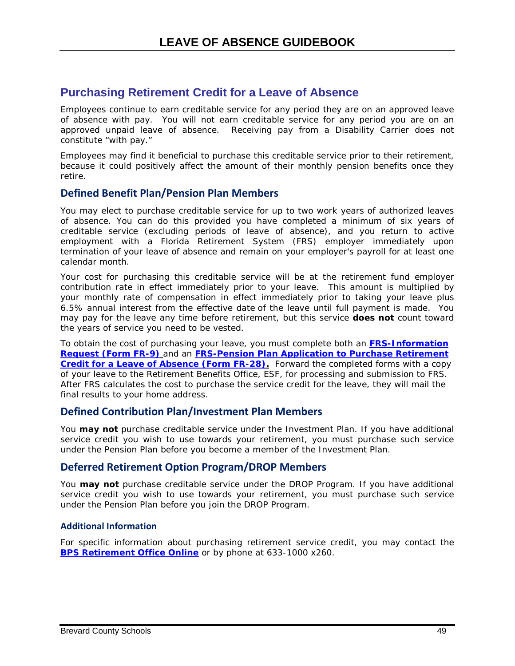### <span id="page-54-0"></span>**Purchasing Retirement Credit for a Leave of Absence**

Employees continue to earn *creditable service* for any period they are on an approved leave of absence with pay. You will not earn *creditable service* for any period you are on an approved unpaid leave of absence. Receiving pay from a Disability Carrier does not constitute "with pay."

Employees may find it beneficial to purchase this creditable service prior to their retirement, because it could positively affect the amount of their monthly pension benefits once they retire.

### **Defined Benefit Plan/Pension Plan Members**

You may elect to purchase *creditable service* for up to two work years of authorized leaves of absence. You can do this provided you have completed a minimum of six years of creditable service (excluding periods of leave of absence), and you return to active employment with a *Florida Retirement System (FRS)* employer immediately upon termination of your leave of absence and remain on your employer's payroll for at least one calendar month.

Your cost for purchasing this creditable service will be at the retirement fund employer contribution rate in effect immediately prior to your leave. This amount is multiplied by your monthly rate of compensation in effect immediately prior to taking your leave plus 6.5% annual interest from the effective date of the leave until full payment is made. You may pay for the leave any time before retirement, but this service **does not** count toward the years of service you need to be *vested*.

To obtain the cost of purchasing your leave, you must complete both an **[FRS-Information](https://www.rol.frs.state.fl.us/forms/fr-9.pdf)  [Request \(Form FR-9\)](https://www.rol.frs.state.fl.us/forms/fr-9.pdf)** and an **[FRS-Pension Plan Application to Purchase Retirement](https://www.rol.frs.state.fl.us/forms/fr-28.pdf)  [Credit for a Leave of Absence \(Form FR-28\).](https://www.rol.frs.state.fl.us/forms/fr-28.pdf)** Forward the completed forms with a copy of your leave to the Retirement Benefits Office, ESF, for processing and submission to FRS. After FRS calculates the cost to purchase the service credit for the leave, they will mail the final results to your home address.

#### **Defined Contribution Plan/Investment Plan Members**

You **may not** purchase creditable service under the Investment Plan. If you have additional service credit you wish to use towards your retirement, you must purchase such service under the Pension Plan before you become a member of the Investment Plan.

#### **Deferred Retirement Option Program/DROP Members**

You **may not** purchase creditable service under the DROP Program. If you have additional service credit you wish to use towards your retirement, you must purchase such service under the Pension Plan before you join the DROP Program.

#### **Additional Information**

For specific information about purchasing retirement service credit, you may contact the **[BPS Retirement Office Online](http://benefits.brevard.k12.fl.us/HR/retirement/Staff.htm)** or by phone at 633-1000 x260.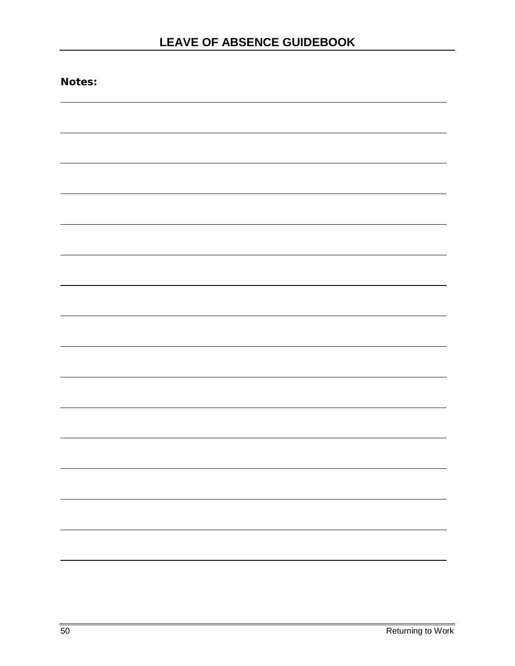| Notes: |  |
|--------|--|
|        |  |
|        |  |
|        |  |
|        |  |
|        |  |
|        |  |
|        |  |
|        |  |
|        |  |
|        |  |
|        |  |
|        |  |
|        |  |
|        |  |
|        |  |
|        |  |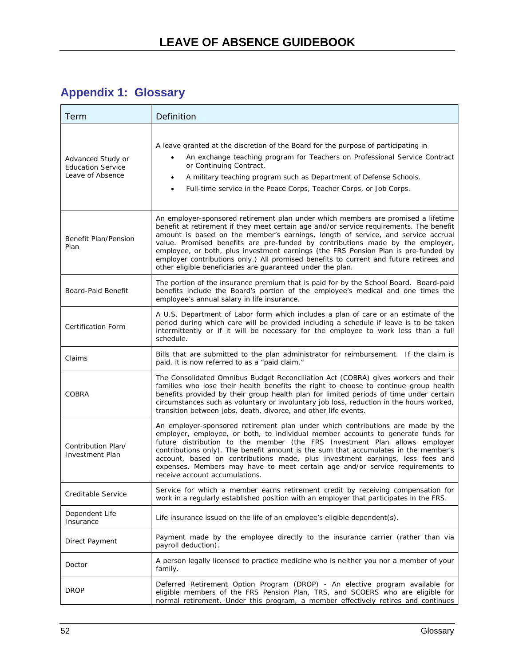# <span id="page-57-0"></span>**Appendix 1: Glossary**

| Term                                                              | Definition                                                                                                                                                                                                                                                                                                                                                                                                                                                                                                                                                                                        |
|-------------------------------------------------------------------|---------------------------------------------------------------------------------------------------------------------------------------------------------------------------------------------------------------------------------------------------------------------------------------------------------------------------------------------------------------------------------------------------------------------------------------------------------------------------------------------------------------------------------------------------------------------------------------------------|
| Advanced Study or<br><b>Education Service</b><br>Leave of Absence | A leave granted at the discretion of the Board for the purpose of participating in<br>An exchange teaching program for Teachers on Professional Service Contract<br>$\bullet$<br>or Continuing Contract.<br>A military teaching program such as Department of Defense Schools.<br>$\bullet$<br>Full-time service in the Peace Corps, Teacher Corps, or Job Corps.<br>$\bullet$                                                                                                                                                                                                                    |
| Benefit Plan/Pension<br>Plan                                      | An employer-sponsored retirement plan under which members are promised a lifetime<br>benefit at retirement if they meet certain age and/or service requirements. The benefit<br>amount is based on the member's earnings, length of service, and service accrual<br>value. Promised benefits are pre-funded by contributions made by the employer,<br>employee, or both, plus investment earnings (the FRS Pension Plan is pre-funded by<br>employer contributions only.) All promised benefits to current and future retirees and<br>other eligible beneficiaries are guaranteed under the plan. |
| Board-Paid Benefit                                                | The portion of the insurance premium that is paid for by the School Board. Board-paid<br>benefits include the Board's portion of the employee's medical and one times the<br>employee's annual salary in life insurance.                                                                                                                                                                                                                                                                                                                                                                          |
| <b>Certification Form</b>                                         | A U.S. Department of Labor form which includes a plan of care or an estimate of the<br>period during which care will be provided including a schedule if leave is to be taken<br>intermittently or if it will be necessary for the employee to work less than a full<br>schedule.                                                                                                                                                                                                                                                                                                                 |
| Claims                                                            | Bills that are submitted to the plan administrator for reimbursement. If the claim is<br>paid, it is now referred to as a "paid claim."                                                                                                                                                                                                                                                                                                                                                                                                                                                           |
| <b>COBRA</b>                                                      | The Consolidated Omnibus Budget Reconciliation Act (COBRA) gives workers and their<br>families who lose their health benefits the right to choose to continue group health<br>benefits provided by their group health plan for limited periods of time under certain<br>circumstances such as voluntary or involuntary job loss, reduction in the hours worked,<br>transition between jobs, death, divorce, and other life events.                                                                                                                                                                |
| Contribution Plan/<br><b>Investment Plan</b>                      | An employer-sponsored retirement plan under which contributions are made by the<br>employer, employee, or both, to individual member accounts to generate funds for<br>future distribution to the member (the FRS Investment Plan allows employer<br>contributions only). The benefit amount is the sum that accumulates in the member's<br>account, based on contributions made, plus investment earnings, less fees and<br>expenses. Members may have to meet certain age and/or service requirements to<br>receive account accumulations.                                                      |
| Creditable Service                                                | Service for which a member earns retirement credit by receiving compensation for<br>work in a regularly established position with an employer that participates in the FRS.                                                                                                                                                                                                                                                                                                                                                                                                                       |
| Dependent Life<br>Insurance                                       | Life insurance issued on the life of an employee's eligible dependent(s).                                                                                                                                                                                                                                                                                                                                                                                                                                                                                                                         |
| <b>Direct Payment</b>                                             | Payment made by the employee directly to the insurance carrier (rather than via<br>payroll deduction).                                                                                                                                                                                                                                                                                                                                                                                                                                                                                            |
| Doctor                                                            | A person legally licensed to practice medicine who is neither you nor a member of your<br>family.                                                                                                                                                                                                                                                                                                                                                                                                                                                                                                 |
| <b>DROP</b>                                                       | Deferred Retirement Option Program (DROP) - An elective program available for<br>eligible members of the FRS Pension Plan, TRS, and SCOERS who are eligible for<br>normal retirement. Under this program, a member effectively retires and continues                                                                                                                                                                                                                                                                                                                                              |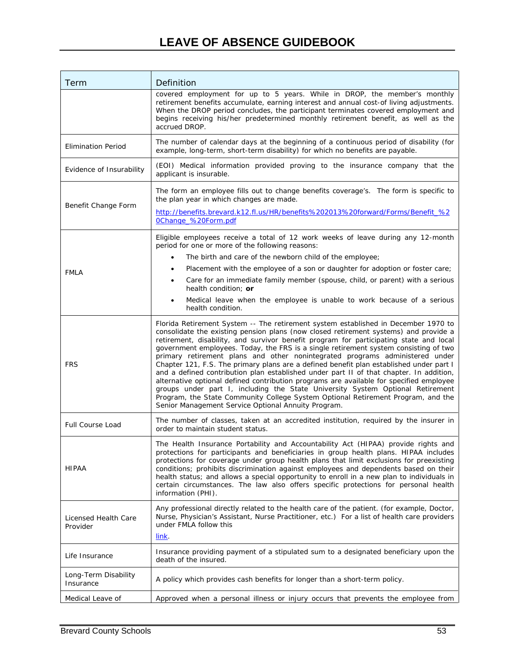## **LEAVE OF ABSENCE GUIDEBOOK**

| Term                              | Definition                                                                                                                                                                                                                                                                                                                                                                                                                                                                                                                                                                                                                                                                                                                                                                                                                                                                                                                                                 |
|-----------------------------------|------------------------------------------------------------------------------------------------------------------------------------------------------------------------------------------------------------------------------------------------------------------------------------------------------------------------------------------------------------------------------------------------------------------------------------------------------------------------------------------------------------------------------------------------------------------------------------------------------------------------------------------------------------------------------------------------------------------------------------------------------------------------------------------------------------------------------------------------------------------------------------------------------------------------------------------------------------|
|                                   | covered employment for up to 5 years. While in DROP, the member's monthly<br>retirement benefits accumulate, earning interest and annual cost-of living adjustments.<br>When the DROP period concludes, the participant terminates covered employment and<br>begins receiving his/her predetermined monthly retirement benefit, as well as the<br>accrued DROP.                                                                                                                                                                                                                                                                                                                                                                                                                                                                                                                                                                                            |
| <b>Elimination Period</b>         | The number of calendar days at the beginning of a continuous period of disability (for<br>example, long-term, short-term disability) for which no benefits are payable.                                                                                                                                                                                                                                                                                                                                                                                                                                                                                                                                                                                                                                                                                                                                                                                    |
| Evidence of Insurability          | (EOI) Medical information provided proving to the insurance company that the<br>applicant is insurable.                                                                                                                                                                                                                                                                                                                                                                                                                                                                                                                                                                                                                                                                                                                                                                                                                                                    |
| Benefit Change Form               | The form an employee fills out to change benefits coverage's. The form is specific to<br>the plan year in which changes are made.<br>http://benefits.brevard.k12.fl.us/HR/benefits%202013%20forward/Forms/Benefit_%2<br>0Change_%20Form.pdf                                                                                                                                                                                                                                                                                                                                                                                                                                                                                                                                                                                                                                                                                                                |
|                                   | Eligible employees receive a total of 12 work weeks of leave during any 12-month<br>period for one or more of the following reasons:                                                                                                                                                                                                                                                                                                                                                                                                                                                                                                                                                                                                                                                                                                                                                                                                                       |
|                                   | The birth and care of the newborn child of the employee;<br>$\bullet$                                                                                                                                                                                                                                                                                                                                                                                                                                                                                                                                                                                                                                                                                                                                                                                                                                                                                      |
| <b>FMLA</b>                       | Placement with the employee of a son or daughter for adoption or foster care;<br>٠                                                                                                                                                                                                                                                                                                                                                                                                                                                                                                                                                                                                                                                                                                                                                                                                                                                                         |
|                                   | Care for an immediate family member (spouse, child, or parent) with a serious<br>$\bullet$<br>health condition: or                                                                                                                                                                                                                                                                                                                                                                                                                                                                                                                                                                                                                                                                                                                                                                                                                                         |
|                                   | Medical leave when the employee is unable to work because of a serious<br>$\bullet$<br>health condition.                                                                                                                                                                                                                                                                                                                                                                                                                                                                                                                                                                                                                                                                                                                                                                                                                                                   |
| <b>FRS</b>                        | Florida Retirement System -- The retirement system established in December 1970 to<br>consolidate the existing pension plans (now closed retirement systems) and provide a<br>retirement, disability, and survivor benefit program for participating state and local<br>government employees. Today, the FRS is a single retirement system consisting of two<br>primary retirement plans and other nonintegrated programs administered under<br>Chapter 121, F.S. The primary plans are a defined benefit plan established under part I<br>and a defined contribution plan established under part II of that chapter. In addition,<br>alternative optional defined contribution programs are available for specified employee<br>groups under part I, including the State University System Optional Retirement<br>Program, the State Community College System Optional Retirement Program, and the<br>Senior Management Service Optional Annuity Program. |
| <b>Full Course Load</b>           | The number of classes, taken at an accredited institution, required by the insurer in<br>order to maintain student status.                                                                                                                                                                                                                                                                                                                                                                                                                                                                                                                                                                                                                                                                                                                                                                                                                                 |
| <b>HIPAA</b>                      | The Health Insurance Portability and Accountability Act (HIPAA) provide rights and<br>protections for participants and beneficiaries in group health plans. HIPAA includes<br>protections for coverage under group health plans that limit exclusions for preexisting<br>conditions; prohibits discrimination against employees and dependents based on their<br>health status; and allows a special opportunity to enroll in a new plan to individuals in<br>certain circumstances. The law also offers specific protections for personal health<br>information (PHI).                                                                                                                                                                                                                                                                                                                                                                                    |
| Licensed Health Care<br>Provider  | Any professional directly related to the health care of the patient. (for example, Doctor,<br>Nurse, Physician's Assistant, Nurse Practitioner, etc.) For a list of health care providers<br>under FMLA follow this                                                                                                                                                                                                                                                                                                                                                                                                                                                                                                                                                                                                                                                                                                                                        |
|                                   | <u>link</u> .                                                                                                                                                                                                                                                                                                                                                                                                                                                                                                                                                                                                                                                                                                                                                                                                                                                                                                                                              |
| Life Insurance                    | Insurance providing payment of a stipulated sum to a designated beneficiary upon the<br>death of the insured.                                                                                                                                                                                                                                                                                                                                                                                                                                                                                                                                                                                                                                                                                                                                                                                                                                              |
| Long-Term Disability<br>Insurance | A policy which provides cash benefits for longer than a short-term policy.                                                                                                                                                                                                                                                                                                                                                                                                                                                                                                                                                                                                                                                                                                                                                                                                                                                                                 |
| Medical Leave of                  | Approved when a personal illness or injury occurs that prevents the employee from                                                                                                                                                                                                                                                                                                                                                                                                                                                                                                                                                                                                                                                                                                                                                                                                                                                                          |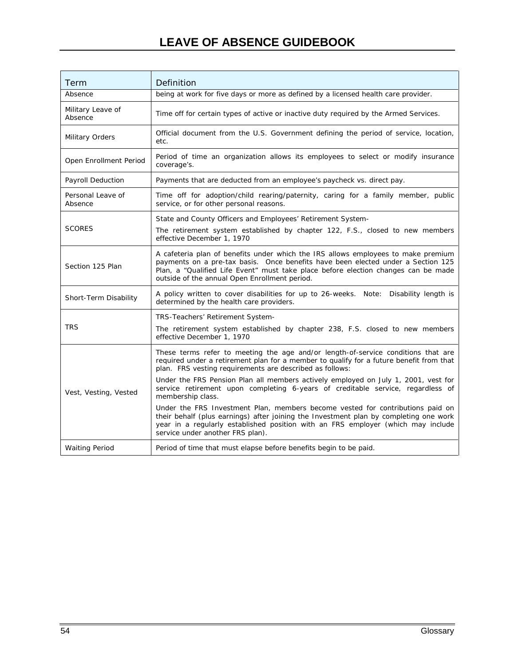## **LEAVE OF ABSENCE GUIDEBOOK**

| Term                         | Definition                                                                                                                                                                                                                                                                                                                     |
|------------------------------|--------------------------------------------------------------------------------------------------------------------------------------------------------------------------------------------------------------------------------------------------------------------------------------------------------------------------------|
| Absence                      | being at work for five days or more as defined by a licensed health care provider.                                                                                                                                                                                                                                             |
| Military Leave of<br>Absence | Time off for certain types of active or inactive duty required by the Armed Services.                                                                                                                                                                                                                                          |
| Military Orders              | Official document from the U.S. Government defining the period of service, location,<br>etc.                                                                                                                                                                                                                                   |
| Open Enrollment Period       | Period of time an organization allows its employees to select or modify insurance<br>coverage's.                                                                                                                                                                                                                               |
| <b>Payroll Deduction</b>     | Payments that are deducted from an employee's paycheck vs. direct pay.                                                                                                                                                                                                                                                         |
| Personal Leave of<br>Absence | Time off for adoption/child rearing/paternity, caring for a family member, public<br>service, or for other personal reasons.                                                                                                                                                                                                   |
| <b>SCORES</b>                | State and County Officers and Employees' Retirement System-<br>The retirement system established by chapter 122, F.S., closed to new members<br>effective December 1, 1970                                                                                                                                                     |
| Section 125 Plan             | A cafeteria plan of benefits under which the IRS allows employees to make premium<br>payments on a pre-tax basis. Once benefits have been elected under a Section 125<br>Plan, a "Qualified Life Event" must take place before election changes can be made<br>outside of the annual Open Enrollment period.                   |
| Short-Term Disability        | A policy written to cover disabilities for up to 26-weeks. Note:<br>Disability length is<br>determined by the health care providers.                                                                                                                                                                                           |
| <b>TRS</b>                   | TRS-Teachers' Retirement System-<br>The retirement system established by chapter 238, F.S. closed to new members<br>effective December 1, 1970                                                                                                                                                                                 |
|                              | These terms refer to meeting the age and/or length-of-service conditions that are<br>required under a retirement plan for a member to qualify for a future benefit from that<br>plan. FRS vesting requirements are described as follows:<br>Under the FRS Pension Plan all members actively employed on July 1, 2001, vest for |
| Vest, Vesting, Vested        | service retirement upon completing 6-years of creditable service, regardless of<br>membership class.                                                                                                                                                                                                                           |
|                              | Under the FRS Investment Plan, members become vested for contributions paid on<br>their behalf (plus earnings) after joining the Investment plan by completing one work<br>year in a regularly established position with an FRS employer (which may include<br>service under another FRS plan).                                |
| <b>Waiting Period</b>        | Period of time that must elapse before benefits begin to be paid.                                                                                                                                                                                                                                                              |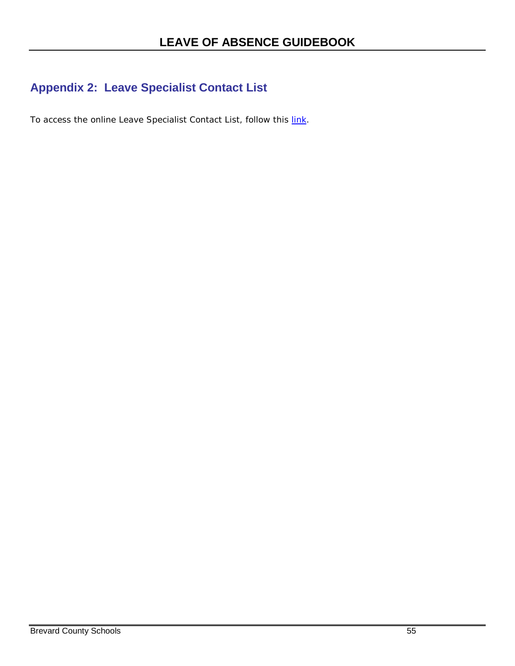## <span id="page-60-0"></span>**Appendix 2: Leave Specialist Contact List**

To access the online Leave Specialist Contact List, follow this [link.](http://benefits.brevard.k12.fl.us/HR/LOA/2012/LEAVE%20CONTACT%20ALPHA.pdf)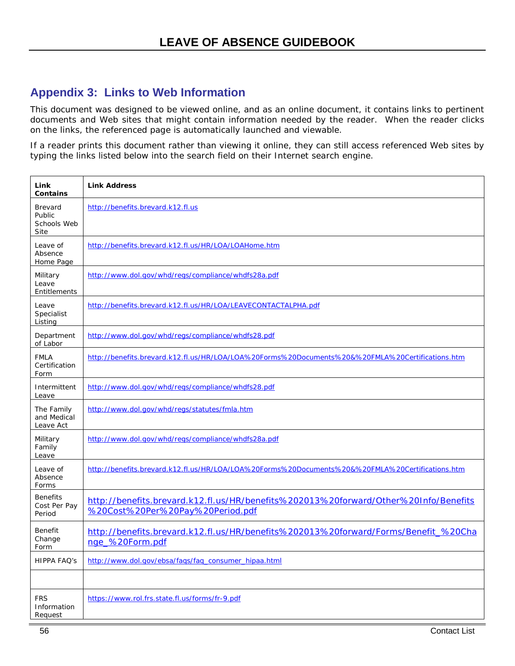### <span id="page-61-0"></span>**Appendix 3: Links to Web Information**

This document was designed to be viewed online, and as an online document, it contains links to pertinent documents and Web sites that might contain information needed by the reader. When the reader clicks on the links, the referenced page is automatically launched and viewable.

If a reader prints this document rather than viewing it online, they can still access referenced Web sites by typing the links listed below into the search field on their Internet search engine.

| Link<br>Contains                          | <b>Link Address</b>                                                                                                      |
|-------------------------------------------|--------------------------------------------------------------------------------------------------------------------------|
| Brevard<br>Public<br>Schools Web<br>Site  | http://benefits.brevard.k12.fl.us                                                                                        |
| Leave of<br>Absence<br>Home Page          | http://benefits.brevard.k12.fl.us/HR/LOA/LOAHome.htm                                                                     |
| Military<br>Leave<br>Entitlements         | http://www.dol.gov/whd/regs/compliance/whdfs28a.pdf                                                                      |
| Leave<br>Specialist<br>Listing            | http://benefits.brevard.k12.fl.us/HR/LOA/LEAVECONTACTALPHA.pdf                                                           |
| Department<br>of Labor                    | http://www.dol.gov/whd/regs/compliance/whdfs28.pdf                                                                       |
| <b>FMLA</b><br>Certification<br>Form      | http://benefits.brevard.k12.fl.us/HR/LOA/LOA%20Forms%20Documents%20&%20FMLA%20Certifications.htm                         |
| Intermittent<br>Leave                     | http://www.dol.gov/whd/regs/compliance/whdfs28.pdf                                                                       |
| The Family<br>and Medical<br>Leave Act    | http://www.dol.gov/whd/regs/statutes/fmla.htm                                                                            |
| Military<br>Family<br>Leave               | http://www.dol.gov/whd/regs/compliance/whdfs28a.pdf                                                                      |
| Leave of<br>Absence<br>Forms              | http://benefits.brevard.k12.fl.us/HR/LOA/LOA%20Forms%20Documents%20&%20FMLA%20Certifications.htm                         |
| <b>Benefits</b><br>Cost Per Pay<br>Period | http://benefits.brevard.k12.fl.us/HR/benefits%202013%20forward/Other%20Info/Benefits<br>%20Cost%20Per%20Pay%20Period.pdf |
| Benefit<br>Change<br>Form                 | http://benefits.brevard.k12.fl.us/HR/benefits%202013%20forward/Forms/Benefit_%20Cha<br>nge_%20Form.pdf                   |
| <b>HIPPA FAQ'S</b>                        | http://www.dol.gov/ebsa/faqs/faq_consumer_hipaa.html                                                                     |
|                                           |                                                                                                                          |
| <b>FRS</b><br>Information<br>Request      | https://www.rol.frs.state.fl.us/forms/fr-9.pdf                                                                           |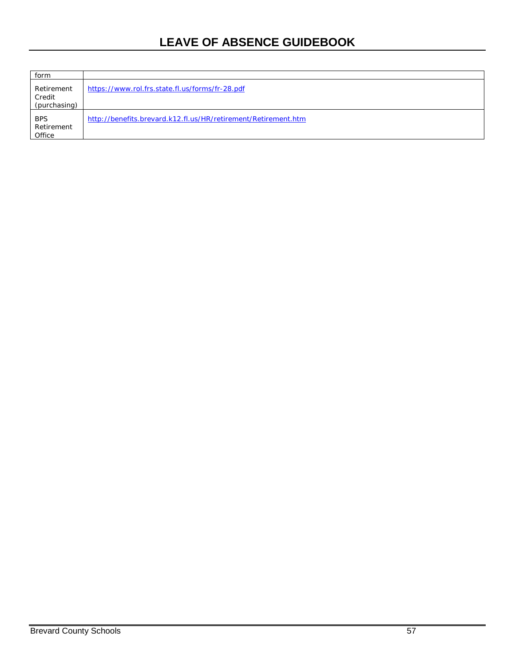## **LEAVE OF ABSENCE GUIDEBOOK**

| form                                 |                                                                |
|--------------------------------------|----------------------------------------------------------------|
| Retirement<br>Credit<br>(purchasing) | https://www.rol.frs.state.fl.us/forms/fr-28.pdf                |
| <b>BPS</b><br>Retirement<br>Office   | http://benefits.brevard.k12.fl.us/HR/retirement/Retirement.htm |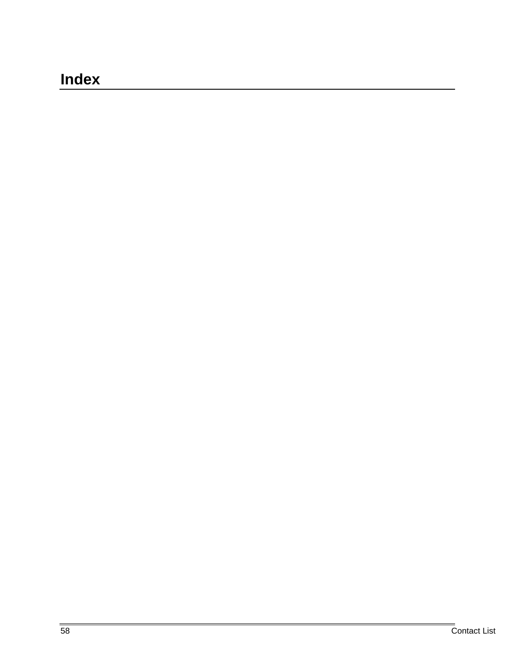# <span id="page-63-0"></span>**Index**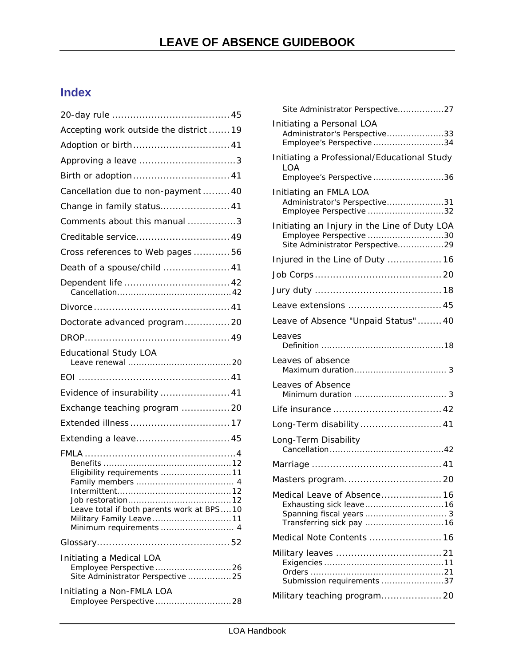## <span id="page-64-0"></span>**Index**

| Accepting work outside the district  19                                                                                         |  |
|---------------------------------------------------------------------------------------------------------------------------------|--|
|                                                                                                                                 |  |
|                                                                                                                                 |  |
| Birth or adoption 41                                                                                                            |  |
| Cancellation due to non-payment  40                                                                                             |  |
| Change in family status 41                                                                                                      |  |
| Comments about this manual 3                                                                                                    |  |
| Creditable service 49                                                                                                           |  |
| Cross references to Web pages  56                                                                                               |  |
| Death of a spouse/child  41                                                                                                     |  |
|                                                                                                                                 |  |
|                                                                                                                                 |  |
| Doctorate advanced program 20                                                                                                   |  |
|                                                                                                                                 |  |
| <b>Educational Study LOA</b>                                                                                                    |  |
|                                                                                                                                 |  |
| Evidence of insurability  41                                                                                                    |  |
| Exchange teaching program  20                                                                                                   |  |
|                                                                                                                                 |  |
| Extending a leave 45                                                                                                            |  |
| Eligibility requirements 11<br>Leave total if both parents work at BPS10<br>Military Family Leave 11<br>Minimum requirements  4 |  |
|                                                                                                                                 |  |
| Initiating a Medical LOA<br>Site Administrator Perspective 25                                                                   |  |
| Initiating a Non-FMLA LOA<br>Employee Perspective 28                                                                            |  |

| Site Administrator Perspective27                                                                            |
|-------------------------------------------------------------------------------------------------------------|
| Initiating a Personal LOA<br>Administrator's Perspective33<br>Employee's Perspective 34                     |
| Initiating a Professional/Educational Study<br><b>LOA</b><br>Employee's Perspective 36                      |
| Initiating an FMLA LOA<br>Administrator's Perspective31<br>Employee Perspective 32                          |
| Initiating an Injury in the Line of Duty LOA<br>Employee Perspective 30<br>Site Administrator Perspective29 |
| Injured in the Line of Duty  16                                                                             |
|                                                                                                             |
|                                                                                                             |
| Leave extensions  45                                                                                        |
| Leave of Absence "Unpaid Status"  40                                                                        |
| Leaves                                                                                                      |
| Leaves of absence                                                                                           |
| Leaves of Absence                                                                                           |
|                                                                                                             |
| Long-Term disability 41                                                                                     |
| Long-Term Disability                                                                                        |
|                                                                                                             |
|                                                                                                             |
| Medical Leave of Absence 16                                                                                 |
| Medical Note Contents  16                                                                                   |
| Submission requirements 37                                                                                  |
| Military teaching program 20                                                                                |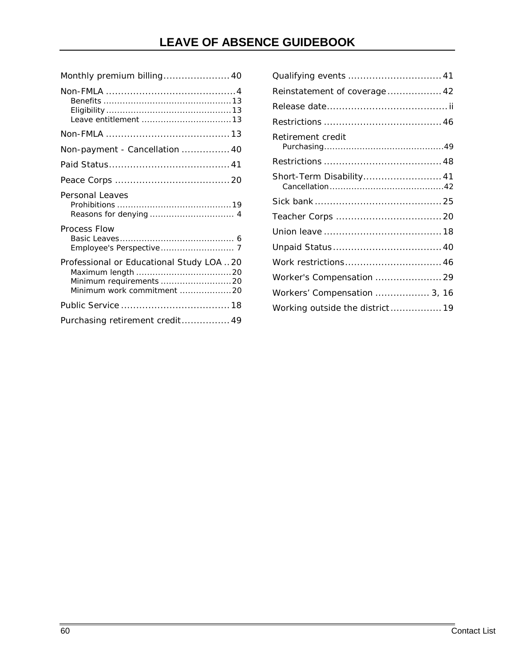## **LEAVE OF ABSENCE GUIDEBOOK**

| Monthly premium billing 40                                                                         |
|----------------------------------------------------------------------------------------------------|
|                                                                                                    |
|                                                                                                    |
| Non-payment - Cancellation  40                                                                     |
|                                                                                                    |
|                                                                                                    |
| Personal Leaves                                                                                    |
| Process Flow                                                                                       |
| Professional or Educational Study LOA  20<br>Minimum requirements 20<br>Minimum work commitment 20 |
|                                                                                                    |
| Purchasing retirement credit 49                                                                    |

| Reinstatement of coverage 42    |  |
|---------------------------------|--|
|                                 |  |
|                                 |  |
| Retirement credit               |  |
|                                 |  |
| Short-Term Disability 41        |  |
|                                 |  |
|                                 |  |
|                                 |  |
|                                 |  |
| Work restrictions 46            |  |
| Worker's Compensation  29       |  |
| Workers' Compensation  3, 16    |  |
| Working outside the district 19 |  |